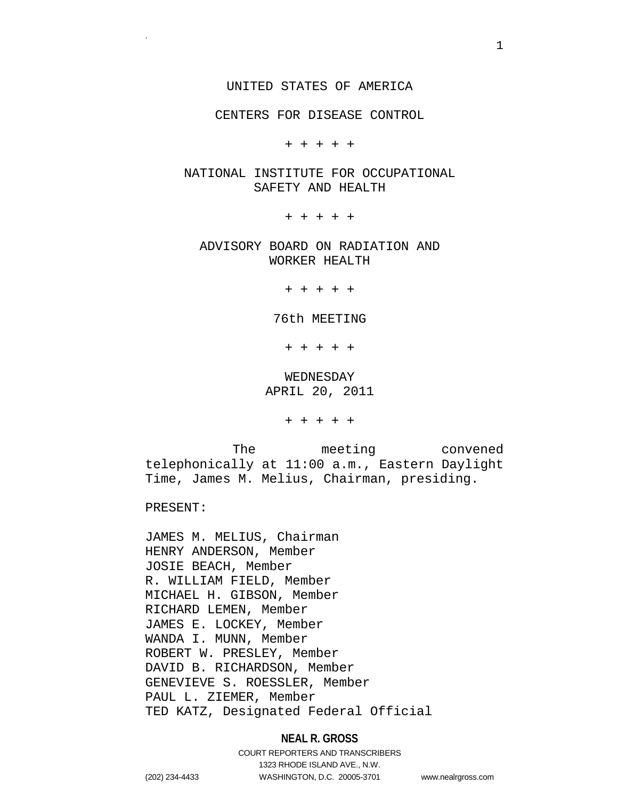CENTERS FOR DISEASE CONTROL

+ + + + +

# NATIONAL INSTITUTE FOR OCCUPATIONAL SAFETY AND HEALTH

+ + + + +

ADVISORY BOARD ON RADIATION AND WORKER HEALTH

+ + + + +

76th MEETING

+ + + + +

WEDNESDAY APRIL 20, 2011

+ + + + +

The meeting convened telephonically at 11:00 a.m., Eastern Daylight Time, James M. Melius, Chairman, presiding.

PRESENT:

.

JAMES M. MELIUS, Chairman HENRY ANDERSON, Member JOSIE BEACH, Member R. WILLIAM FIELD, Member MICHAEL H. GIBSON, Member RICHARD LEMEN, Member JAMES E. LOCKEY, Member WANDA I. MUNN, Member ROBERT W. PRESLEY, Member DAVID B. RICHARDSON, Member GENEVIEVE S. ROESSLER, Member PAUL L. ZIEMER, Member TED KATZ, Designated Federal Official

## **NEAL R. GROSS**

COURT REPORTERS AND TRANSCRIBERS 1323 RHODE ISLAND AVE., N.W. (202) 234-4433 WASHINGTON, D.C. 20005-3701 www.nealrgross.com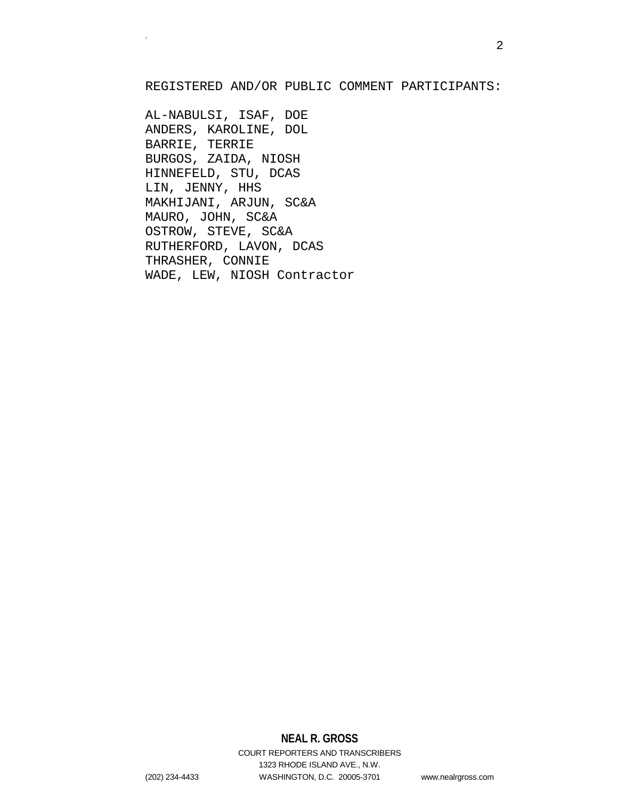## REGISTERED AND/OR PUBLIC COMMENT PARTICIPANTS:

AL-NABULSI, ISAF, DOE ANDERS, KAROLINE, DOL BARRIE, TERRIE BURGOS, ZAIDA, NIOSH HINNEFELD, STU, DCAS LIN, JENNY, HHS MAKHIJANI, ARJUN, SC&A MAURO, JOHN, SC&A OSTROW, STEVE, SC&A RUTHERFORD, LAVON, DCAS THRASHER, CONNIE WADE, LEW, NIOSH Contractor

.

# **NEAL R. GROSS**

COURT REPORTERS AND TRANSCRIBERS 1323 RHODE ISLAND AVE., N.W. (202) 234-4433 WASHINGTON, D.C. 20005-3701 www.nealrgross.com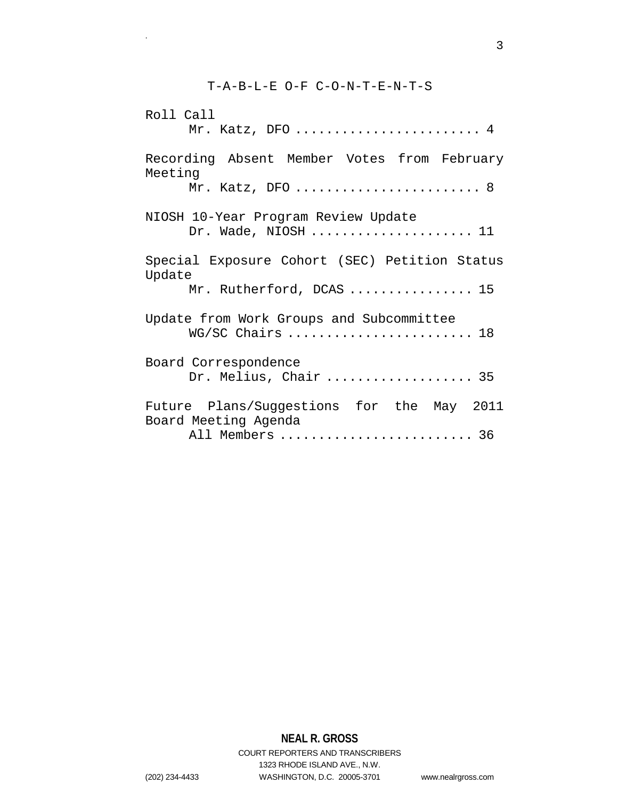# T-A-B-L-E O-F C-O-N-T-E-N-T-S

| Roll Call<br>Mr. Katz, DFO  4                                     |
|-------------------------------------------------------------------|
| Recording Absent Member Votes from February<br>Meeting            |
| Mr. Katz, DFO  8                                                  |
| NIOSH 10-Year Program Review Update<br>Dr. Wade, $NIOSH$ 11       |
| Special Exposure Cohort (SEC) Petition Status<br>Update           |
| Mr. Rutherford, DCAS  15                                          |
| Update from Work Groups and Subcommittee<br>$WG/SC$ Chairs  18    |
| Board Correspondence<br>Dr. Melius, Chair  35                     |
| Future Plans/Suggestions for the May 2011<br>Board Meeting Agenda |
| All Members  36                                                   |

**NEAL R. GROSS** COURT REPORTERS AND TRANSCRIBERS 1323 RHODE ISLAND AVE., N.W. (202) 234-4433 WASHINGTON, D.C. 20005-3701 www.nealrgross.com

.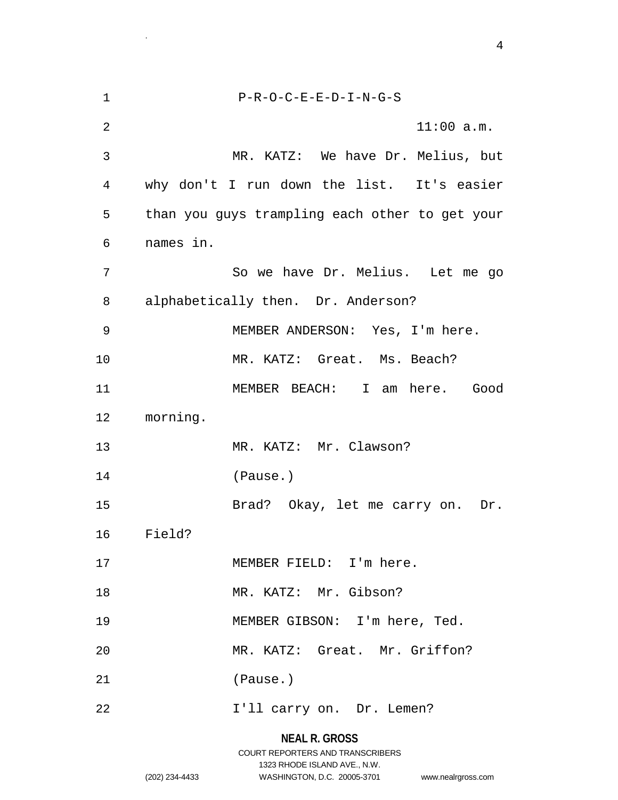| $\mathbf 1$ | $P-R-O-C-E-E-D-I-N-G-S$                        |
|-------------|------------------------------------------------|
| 2           | 11:00 a.m.                                     |
| 3           | MR. KATZ: We have Dr. Melius, but              |
| 4           | why don't I run down the list. It's easier     |
| 5           | than you guys trampling each other to get your |
| 6           | names in.                                      |
| 7           | So we have Dr. Melius. Let me go               |
| 8           | alphabetically then. Dr. Anderson?             |
| 9           | MEMBER ANDERSON: Yes, I'm here.                |
| 10          | MR. KATZ: Great. Ms. Beach?                    |
| 11          | MEMBER BEACH: I am here. Good                  |
| 12          | morning.                                       |
| 13          | MR. KATZ: Mr. Clawson?                         |
| 14          | (Pause.)                                       |
| 15          | Brad? Okay, let me carry on. Dr.               |
| 16          | Field?                                         |
| 17          | MEMBER FIELD: I'm here.                        |
| 18          | MR. KATZ: Mr. Gibson?                          |
| 19          | MEMBER GIBSON: I'm here, Ted.                  |
| 20          | MR. KATZ: Great. Mr. Griffon?                  |
| 21          | (Pause.)                                       |
| 22          | I'll carry on. Dr. Lemen?                      |
|             |                                                |

**NEAL R. GROSS** COURT REPORTERS AND TRANSCRIBERS 1323 RHODE ISLAND AVE., N.W.

.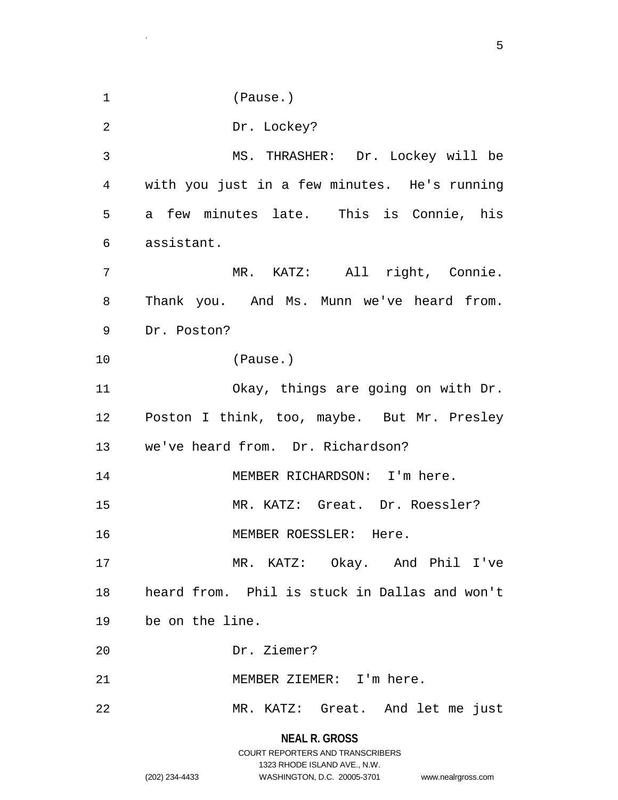1 (Pause.) 2 Dr. Lockey? 3 MS. THRASHER: Dr. Lockey will be 4 with you just in a few minutes. He's running 5 a few minutes late. This is Connie, his 6 assistant. 7 MR. KATZ: All right, Connie. 8 Thank you. And Ms. Munn we've heard from. 9 Dr. Poston? 10 (Pause.) 11 Okay, things are going on with Dr. 12 Poston I think, too, maybe. But Mr. Presley 13 we've heard from. Dr. Richardson? 14 MEMBER RICHARDSON: I'm here. 15 MR. KATZ: Great. Dr. Roessler? 16 MEMBER ROESSLER: Here. 17 MR. KATZ: Okay. And Phil I've 18 heard from. Phil is stuck in Dallas and won't 19 be on the line. 20 Dr. Ziemer? 21 MEMBER ZIEMER: I'm here. 22 MR. KATZ: Great. And let me just

.

**NEAL R. GROSS** COURT REPORTERS AND TRANSCRIBERS 1323 RHODE ISLAND AVE., N.W. (202) 234-4433 WASHINGTON, D.C. 20005-3701 www.nealrgross.com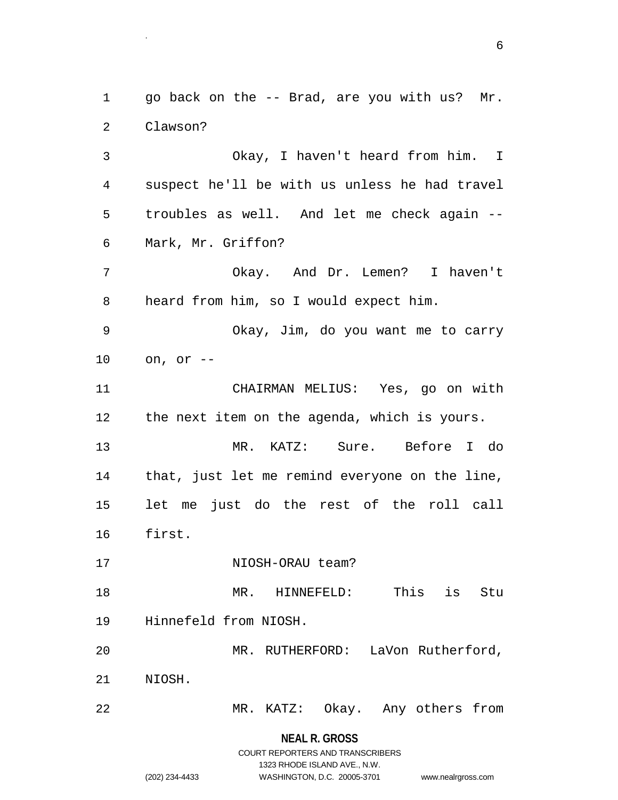1 go back on the -- Brad, are you with us? Mr. 2 Clawson?

.

3 Okay, I haven't heard from him. I 4 suspect he'll be with us unless he had travel 5 troubles as well. And let me check again -- 6 Mark, Mr. Griffon?

7 Okay. And Dr. Lemen? I haven't 8 heard from him, so I would expect him.

9 Okay, Jim, do you want me to carry 10 on, or --

11 CHAIRMAN MELIUS: Yes, go on with 12 the next item on the agenda, which is yours.

13 MR. KATZ: Sure. Before I do 14 that, just let me remind everyone on the line, 15 let me just do the rest of the roll call 16 first.

17 NIOSH-ORAU team?

18 MR. HINNEFELD: This is Stu 19 Hinnefeld from NIOSH.

20 MR. RUTHERFORD: LaVon Rutherford, 21 NIOSH.

22 MR. KATZ: Okay. Any others from

**NEAL R. GROSS**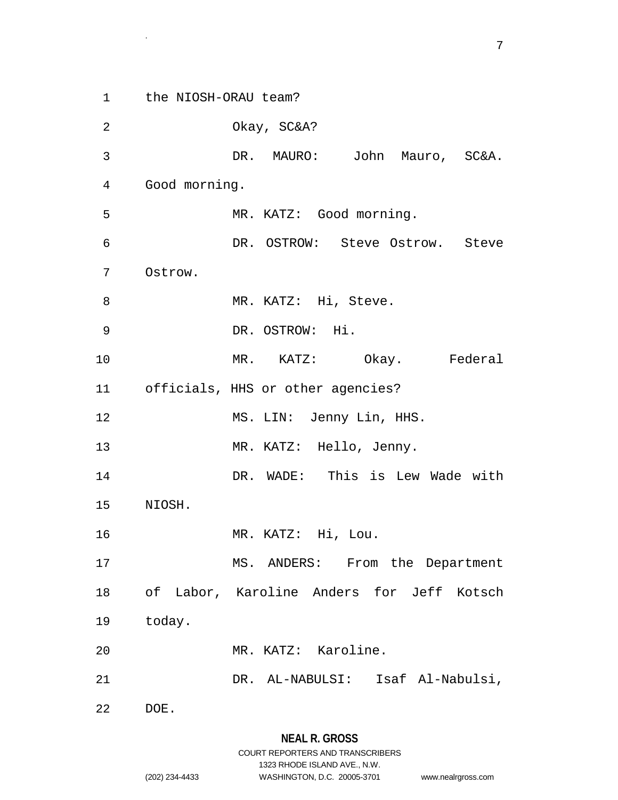1 the NIOSH-ORAU team? 2 Okay, SC&A? 3 DR. MAURO: John Mauro, SC&A. 4 Good morning. 5 MR. KATZ: Good morning. 6 DR. OSTROW: Steve Ostrow. Steve 7 Ostrow. 8 MR. KATZ: Hi, Steve. 9 DR. OSTROW: Hi. 10 MR. KATZ: Okay. Federal 11 officials, HHS or other agencies? 12 MS. LIN: Jenny Lin, HHS. 13 MR. KATZ: Hello, Jenny. 14 DR. WADE: This is Lew Wade with 15 NIOSH. 16 MR. KATZ: Hi, Lou. 17 MS. ANDERS: From the Department 18 of Labor, Karoline Anders for Jeff Kotsch 19 today. 20 MR. KATZ: Karoline. 21 DR. AL-NABULSI: Isaf Al-Nabulsi, 22 DOE.

# **NEAL R. GROSS** COURT REPORTERS AND TRANSCRIBERS

1323 RHODE ISLAND AVE., N.W.

.

(202) 234-4433 WASHINGTON, D.C. 20005-3701 www.nealrgross.com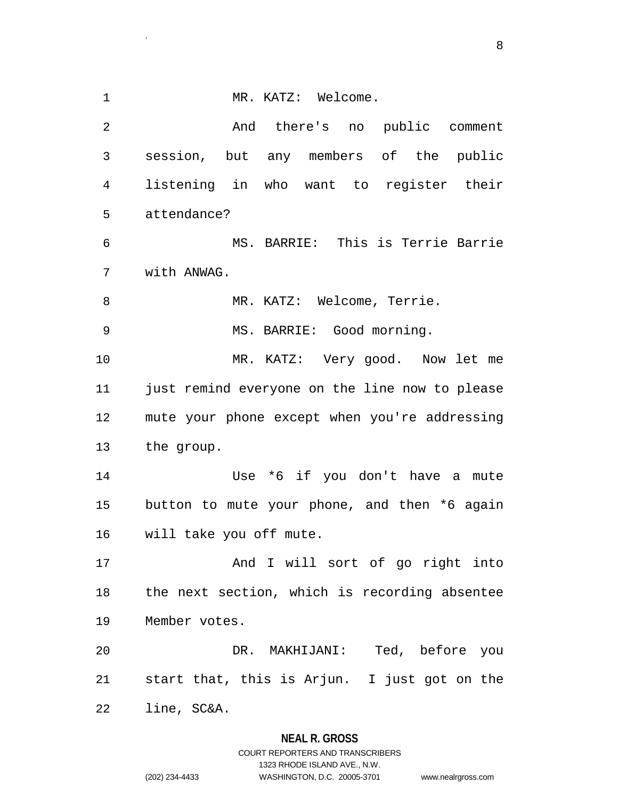1 MR. KATZ: Welcome. 2 And there's no public comment 3 session, but any members of the public 4 listening in who want to register their 5 attendance? 6 MS. BARRIE: This is Terrie Barrie 7 with ANWAG. 8 MR. KATZ: Welcome, Terrie. 9 MS. BARRIE: Good morning. 10 MR. KATZ: Very good. Now let me 11 just remind everyone on the line now to please 12 mute your phone except when you're addressing 13 the group. 14 Use \*6 if you don't have a mute 15 button to mute your phone, and then \*6 again 16 will take you off mute. 17 And I will sort of go right into 18 the next section, which is recording absentee 19 Member votes. 20 DR. MAKHIJANI: Ted, before you 21 start that, this is Arjun. I just got on the 22 line, SC&A.

#### **NEAL R. GROSS**

.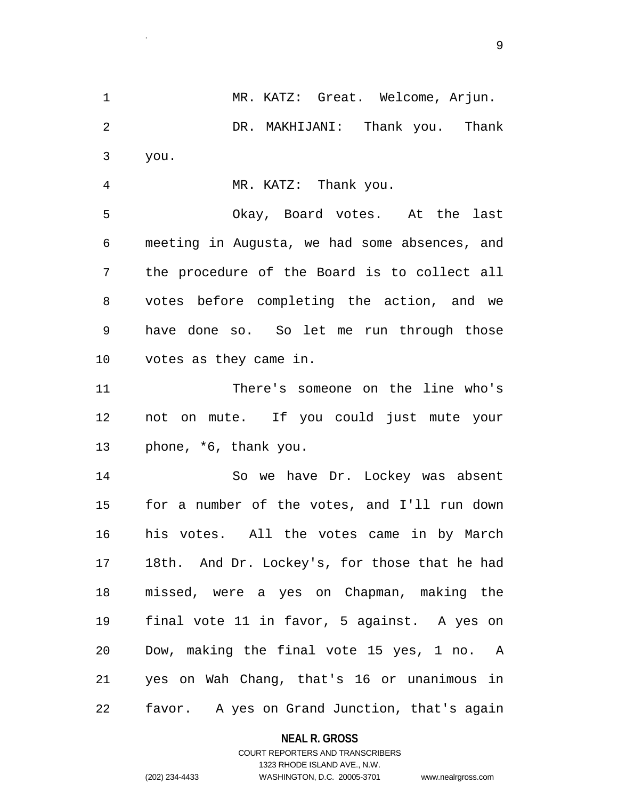1 MR. KATZ: Great. Welcome, Arjun. 2 DR. MAKHIJANI: Thank you. Thank 3 you. 4 MR. KATZ: Thank you. 5 Okay, Board votes. At the last

6 meeting in Augusta, we had some absences, and 7 the procedure of the Board is to collect all 8 votes before completing the action, and we 9 have done so. So let me run through those 10 votes as they came in.

11 There's someone on the line who's 12 not on mute. If you could just mute your 13 phone, \*6, thank you.

14 So we have Dr. Lockey was absent 15 for a number of the votes, and I'll run down 16 his votes. All the votes came in by March 17 18th. And Dr. Lockey's, for those that he had 18 missed, were a yes on Chapman, making the 19 final vote 11 in favor, 5 against. A yes on 20 Dow, making the final vote 15 yes, 1 no. A 21 yes on Wah Chang, that's 16 or unanimous in 22 favor. A yes on Grand Junction, that's again

#### **NEAL R. GROSS**

.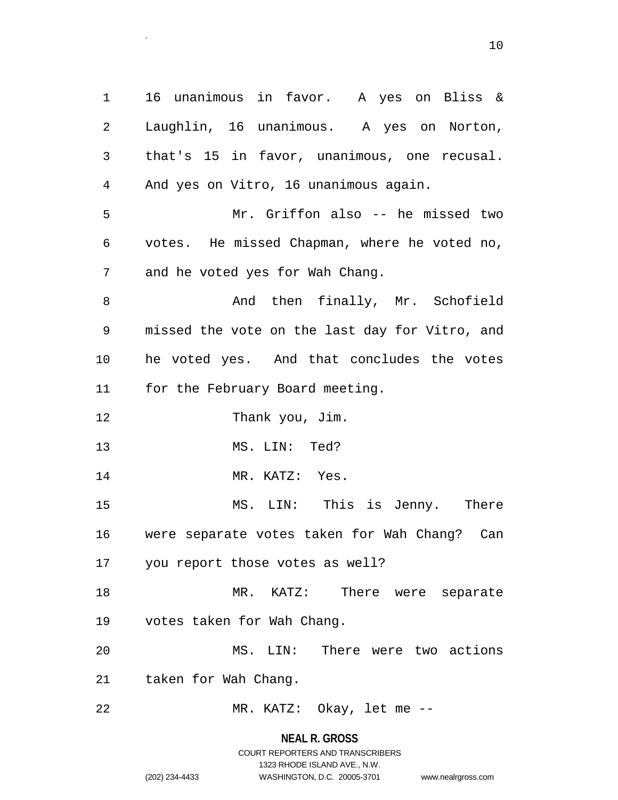1 16 unanimous in favor. A yes on Bliss & 2 Laughlin, 16 unanimous. A yes on Norton, 3 that's 15 in favor, unanimous, one recusal. 4 And yes on Vitro, 16 unanimous again. 5 Mr. Griffon also -- he missed two 6 votes. He missed Chapman, where he voted no, 7 and he voted yes for Wah Chang. 8 And then finally, Mr. Schofield 9 missed the vote on the last day for Vitro, and 10 he voted yes. And that concludes the votes 11 for the February Board meeting. 12 Thank you, Jim. 13 MS. LIN: Ted? 14 MR. KATZ: Yes. 15 MS. LIN: This is Jenny. There 16 were separate votes taken for Wah Chang? Can 17 you report those votes as well? 18 MR. KATZ: There were separate 19 votes taken for Wah Chang. 20 MS. LIN: There were two actions 21 taken for Wah Chang. 22 MR. KATZ: Okay, let me --

> **NEAL R. GROSS** COURT REPORTERS AND TRANSCRIBERS

> > 1323 RHODE ISLAND AVE., N.W.

.

(202) 234-4433 WASHINGTON, D.C. 20005-3701 www.nealrgross.com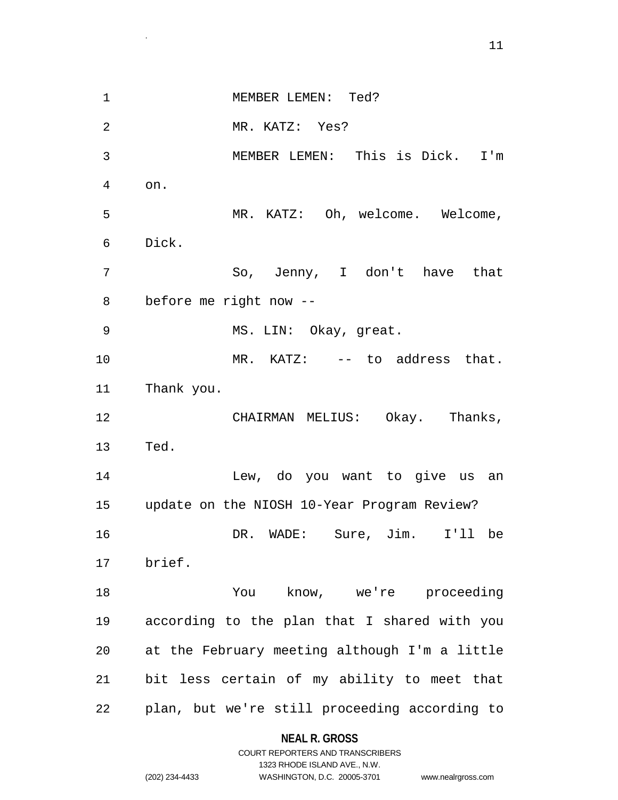1 MEMBER LEMEN: Ted? 2 MR. KATZ: Yes? 3 MEMBER LEMEN: This is Dick. I'm 4 on. 5 MR. KATZ: Oh, welcome. Welcome, 6 Dick. 7 So, Jenny, I don't have that 8 before me right now -- 9 MS. LIN: Okay, great. 10 MR. KATZ: -- to address that. 11 Thank you. 12 CHAIRMAN MELIUS: Okay. Thanks, 13 Ted. 14 Lew, do you want to give us an 15 update on the NIOSH 10-Year Program Review? 16 DR. WADE: Sure, Jim. I'll be 17 brief. 18 You know, we're proceeding 19 according to the plan that I shared with you 20 at the February meeting although I'm a little 21 bit less certain of my ability to meet that 22 plan, but we're still proceeding according to

#### **NEAL R. GROSS**

#### COURT REPORTERS AND TRANSCRIBERS 1323 RHODE ISLAND AVE., N.W. (202) 234-4433 WASHINGTON, D.C. 20005-3701 www.nealrgross.com

.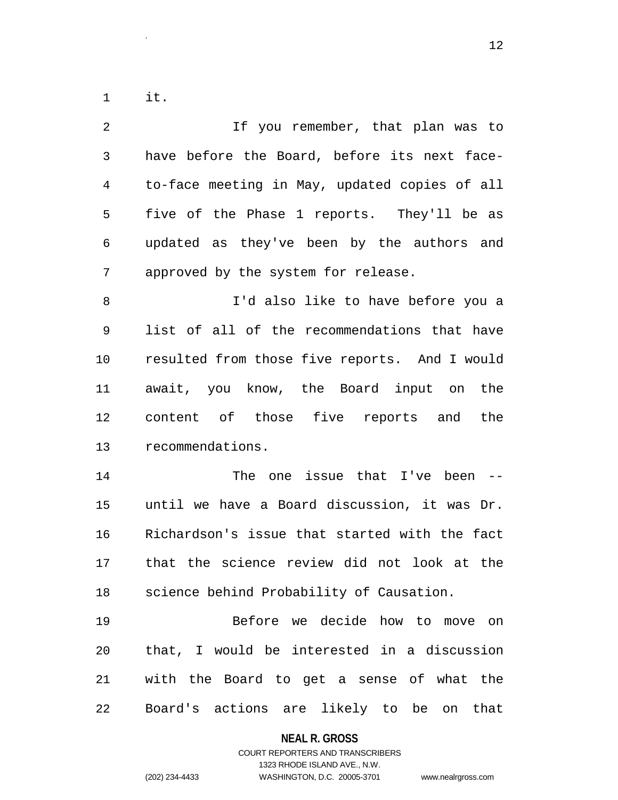1 it.

.

| 2              | If you remember, that plan was to             |
|----------------|-----------------------------------------------|
| $\mathfrak{Z}$ | have before the Board, before its next face-  |
| 4              | to-face meeting in May, updated copies of all |
| 5              | five of the Phase 1 reports. They'll be as    |
| 6              | updated as they've been by the authors and    |
| 7              | approved by the system for release.           |
| 8              | I'd also like to have before you a            |
| 9              | list of all of the recommendations that have  |
| 10             | resulted from those five reports. And I would |
| 11             | await, you know, the Board input on the       |
| 12             | content of those five reports and the         |
| 13             | recommendations.                              |
| 14             | one issue that I've been --<br>The            |
| 15             | until we have a Board discussion, it was Dr.  |
| 16             | Richardson's issue that started with the fact |
| 17             | that the science review did not look at the   |
| 18             | science behind Probability of Causation.      |
| 19             | Before we decide how to move on               |
| 20             | that, I would be interested in a discussion   |
| 21             | with the Board to get a sense of what the     |
| 22             | Board's actions are likely to be on that      |

**NEAL R. GROSS**

# COURT REPORTERS AND TRANSCRIBERS 1323 RHODE ISLAND AVE., N.W. (202) 234-4433 WASHINGTON, D.C. 20005-3701 www.nealrgross.com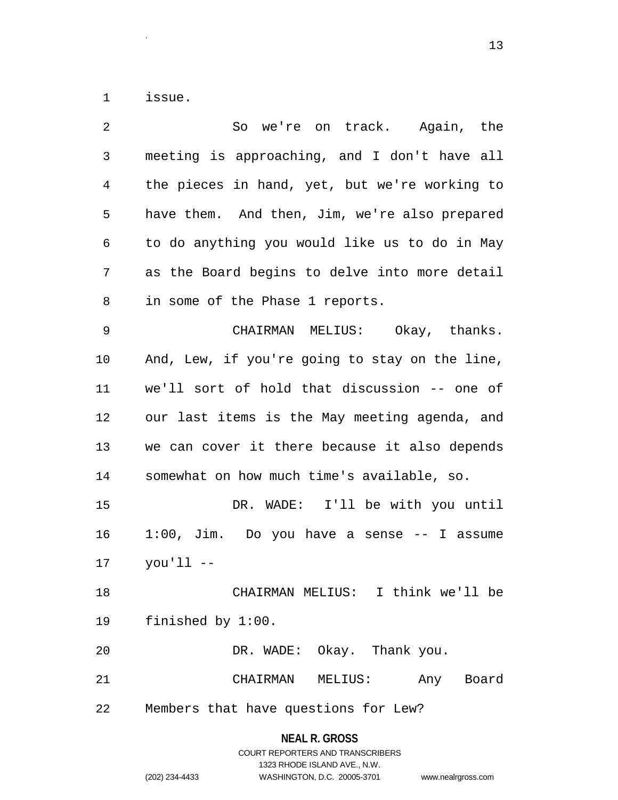1 issue.

.

| 2              | So we're on track. Again, the                    |
|----------------|--------------------------------------------------|
| $\mathfrak{Z}$ | meeting is approaching, and I don't have all     |
| 4              | the pieces in hand, yet, but we're working to    |
| 5              | have them. And then, Jim, we're also prepared    |
| 6              | to do anything you would like us to do in May    |
| 7              | as the Board begins to delve into more detail    |
| 8              | in some of the Phase 1 reports.                  |
| 9              | CHAIRMAN MELIUS: Okay, thanks.                   |
| 10             | And, Lew, if you're going to stay on the line,   |
| 11             | we'll sort of hold that discussion -- one of     |
| 12             | our last items is the May meeting agenda, and    |
| 13             | we can cover it there because it also depends    |
| 14             | somewhat on how much time's available, so.       |
| 15             | DR. WADE: I'll be with you until                 |
| 16             | $1:00$ , Jim. Do you have a sense $-$ - I assume |
| 17             | you'll --                                        |
| 18             | CHAIRMAN MELIUS: I think we'll be                |
| 19             | finished by 1:00.                                |
| 20             | DR. WADE: Okay. Thank you.                       |
| 21             | CHAIRMAN MELIUS: Any Board                       |
| 22             | Members that have questions for Lew?             |

**NEAL R. GROSS**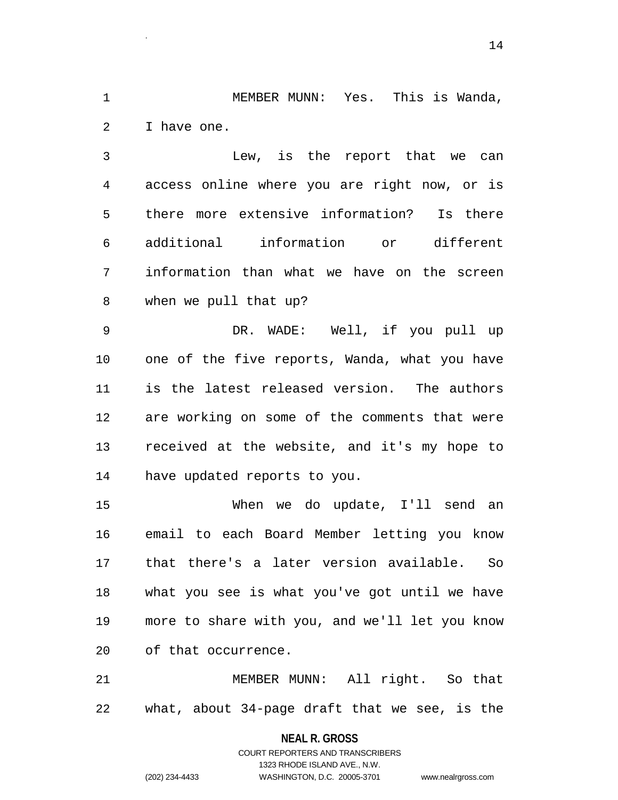1 MEMBER MUNN: Yes. This is Wanda, 2 I have one.

.

3 Lew, is the report that we can 4 access online where you are right now, or is 5 there more extensive information? Is there 6 additional information or different 7 information than what we have on the screen 8 when we pull that up?

9 DR. WADE: Well, if you pull up 10 one of the five reports, Wanda, what you have 11 is the latest released version. The authors 12 are working on some of the comments that were 13 received at the website, and it's my hope to 14 have updated reports to you.

15 When we do update, I'll send an 16 email to each Board Member letting you know 17 that there's a later version available. So 18 what you see is what you've got until we have 19 more to share with you, and we'll let you know 20 of that occurrence.

21 MEMBER MUNN: All right. So that 22 what, about 34-page draft that we see, is the

**NEAL R. GROSS**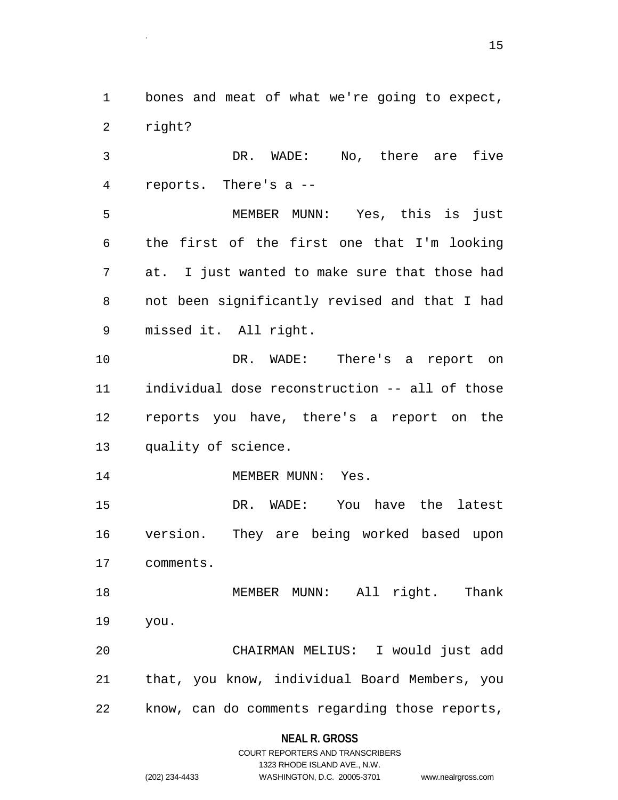1 bones and meat of what we're going to expect, 2 right?

.

3 DR. WADE: No, there are five 4 reports. There's a --

5 MEMBER MUNN: Yes, this is just 6 the first of the first one that I'm looking 7 at. I just wanted to make sure that those had 8 not been significantly revised and that I had 9 missed it. All right.

10 DR. WADE: There's a report on 11 individual dose reconstruction -- all of those 12 reports you have, there's a report on the 13 quality of science.

14 MEMBER MUNN: Yes.

15 DR. WADE: You have the latest 16 version. They are being worked based upon 17 comments.

18 MEMBER MUNN: All right. Thank 19 you.

20 CHAIRMAN MELIUS: I would just add 21 that, you know, individual Board Members, you 22 know, can do comments regarding those reports,

#### **NEAL R. GROSS**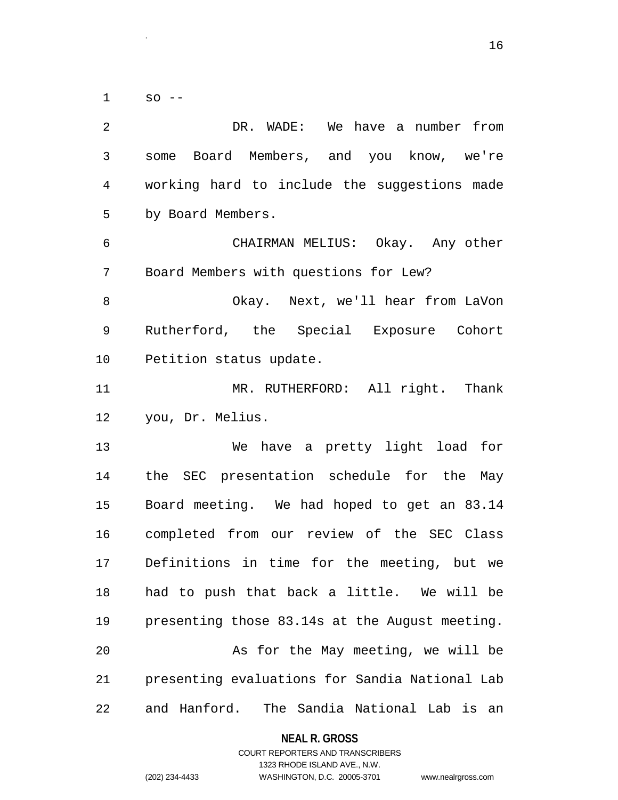1 so --

.

2 DR. WADE: We have a number from 3 some Board Members, and you know, we're 4 working hard to include the suggestions made 5 by Board Members. 6 CHAIRMAN MELIUS: Okay. Any other 7 Board Members with questions for Lew? 8 Okay. Next, we'll hear from LaVon 9 Rutherford, the Special Exposure Cohort 10 Petition status update. 11 MR. RUTHERFORD: All right. Thank 12 you, Dr. Melius. 13 We have a pretty light load for 14 the SEC presentation schedule for the May 15 Board meeting. We had hoped to get an 83.14 16 completed from our review of the SEC Class 17 Definitions in time for the meeting, but we 18 had to push that back a little. We will be 19 presenting those 83.14s at the August meeting. 20 As for the May meeting, we will be 21 presenting evaluations for Sandia National Lab 22 and Hanford. The Sandia National Lab is an

> **NEAL R. GROSS** COURT REPORTERS AND TRANSCRIBERS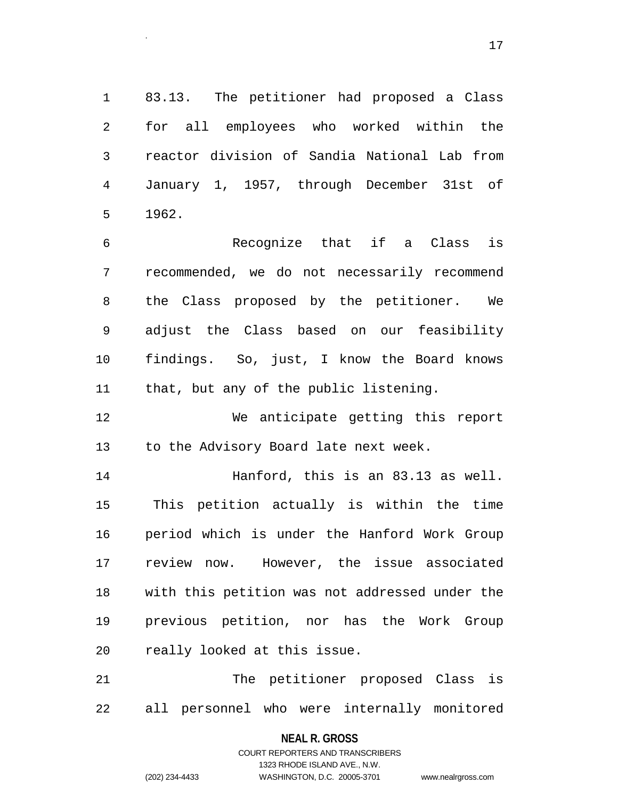1 83.13. The petitioner had proposed a Class 2 for all employees who worked within the 3 reactor division of Sandia National Lab from 4 January 1, 1957, through December 31st of 5 1962.

.

6 Recognize that if a Class is 7 recommended, we do not necessarily recommend 8 the Class proposed by the petitioner. We 9 adjust the Class based on our feasibility 10 findings. So, just, I know the Board knows 11 that, but any of the public listening.

12 We anticipate getting this report 13 to the Advisory Board late next week.

14 Hanford, this is an 83.13 as well. 15 This petition actually is within the time 16 period which is under the Hanford Work Group 17 review now. However, the issue associated 18 with this petition was not addressed under the 19 previous petition, nor has the Work Group 20 really looked at this issue.

21 The petitioner proposed Class is 22 all personnel who were internally monitored

> **NEAL R. GROSS** COURT REPORTERS AND TRANSCRIBERS

> > 1323 RHODE ISLAND AVE., N.W.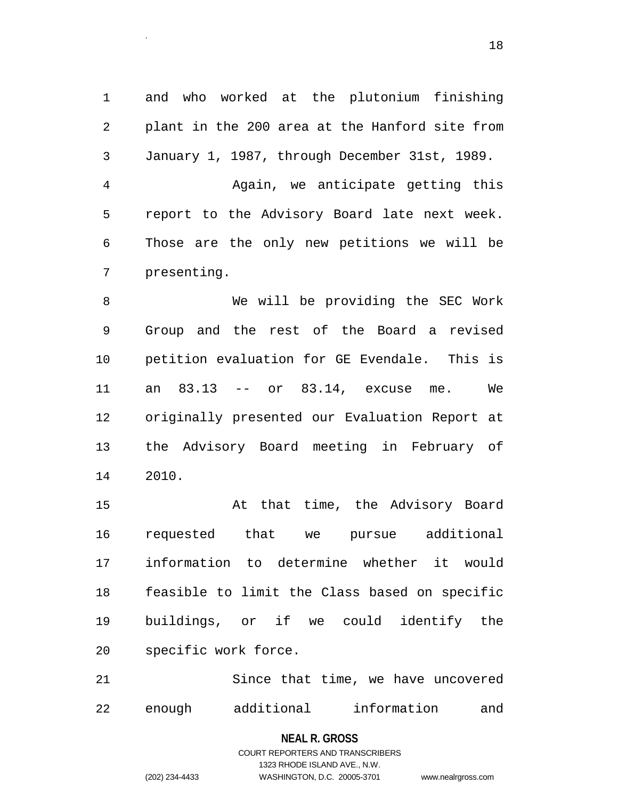1 and who worked at the plutonium finishing 2 plant in the 200 area at the Hanford site from 3 January 1, 1987, through December 31st, 1989. 4 Again, we anticipate getting this

.

5 report to the Advisory Board late next week. 6 Those are the only new petitions we will be 7 presenting.

8 We will be providing the SEC Work 9 Group and the rest of the Board a revised 10 petition evaluation for GE Evendale. This is 11 an 83.13 -- or 83.14, excuse me. We 12 originally presented our Evaluation Report at 13 the Advisory Board meeting in February of 14 2010.

15 At that time, the Advisory Board 16 requested that we pursue additional 17 information to determine whether it would 18 feasible to limit the Class based on specific 19 buildings, or if we could identify the 20 specific work force.

21 Since that time, we have uncovered 22 enough additional information and

## **NEAL R. GROSS** COURT REPORTERS AND TRANSCRIBERS

1323 RHODE ISLAND AVE., N.W.

(202) 234-4433 WASHINGTON, D.C. 20005-3701 www.nealrgross.com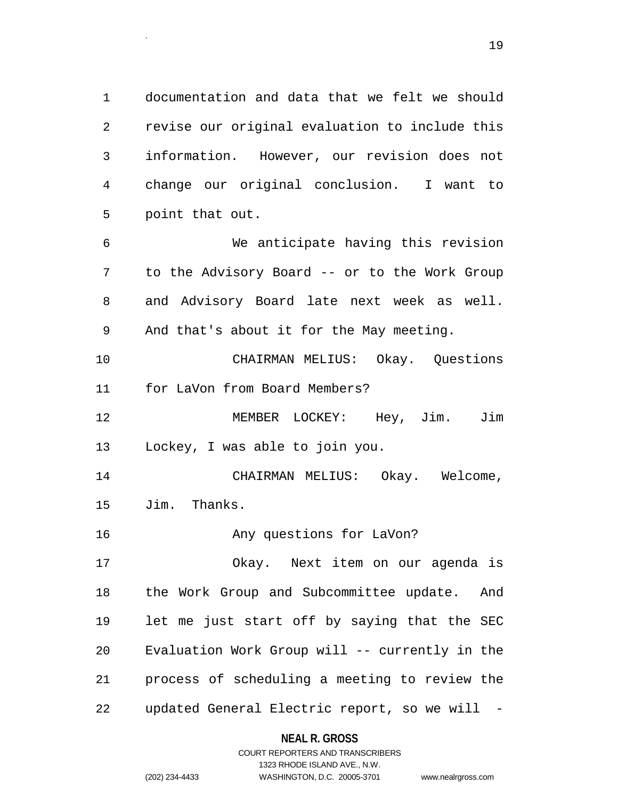1 documentation and data that we felt we should 2 revise our original evaluation to include this 3 information. However, our revision does not 4 change our original conclusion. I want to 5 point that out.

.

6 We anticipate having this revision 7 to the Advisory Board -- or to the Work Group 8 and Advisory Board late next week as well. 9 And that's about it for the May meeting.

10 CHAIRMAN MELIUS: Okay. Questions 11 for LaVon from Board Members?

12 MEMBER LOCKEY: Hey, Jim. Jim 13 Lockey, I was able to join you.

14 CHAIRMAN MELIUS: Okay. Welcome, 15 Jim. Thanks.

16 **Any questions for LaVon?** 

17 Okay. Next item on our agenda is 18 the Work Group and Subcommittee update. And 19 let me just start off by saying that the SEC 20 Evaluation Work Group will -- currently in the 21 process of scheduling a meeting to review the 22 updated General Electric report, so we will -

> **NEAL R. GROSS** COURT REPORTERS AND TRANSCRIBERS

1323 RHODE ISLAND AVE., N.W. (202) 234-4433 WASHINGTON, D.C. 20005-3701 www.nealrgross.com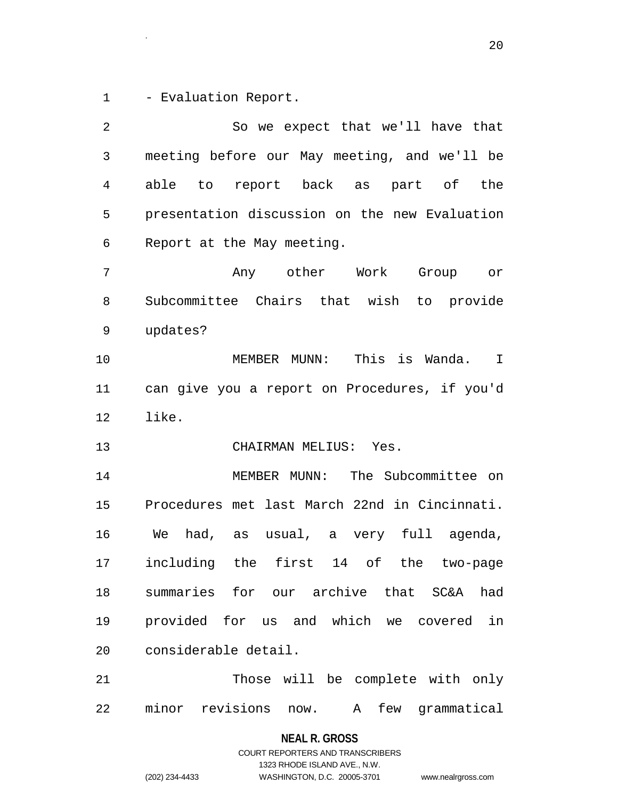1 - Evaluation Report.

.

2 So we expect that we'll have that 3 meeting before our May meeting, and we'll be 4 able to report back as part of the 5 presentation discussion on the new Evaluation 6 Report at the May meeting. 7 Any other Work Group or 8 Subcommittee Chairs that wish to provide 9 updates? 10 MEMBER MUNN: This is Wanda. I 11 can give you a report on Procedures, if you'd 12 like. 13 CHAIRMAN MELIUS: Yes. 14 MEMBER MUNN: The Subcommittee on 15 Procedures met last March 22nd in Cincinnati. 16 We had, as usual, a very full agenda, 17 including the first 14 of the two-page 18 summaries for our archive that SC&A had 19 provided for us and which we covered in 20 considerable detail. 21 Those will be complete with only 22 minor revisions now. A few grammatical

**NEAL R. GROSS**

COURT REPORTERS AND TRANSCRIBERS 1323 RHODE ISLAND AVE., N.W. (202) 234-4433 WASHINGTON, D.C. 20005-3701 www.nealrgross.com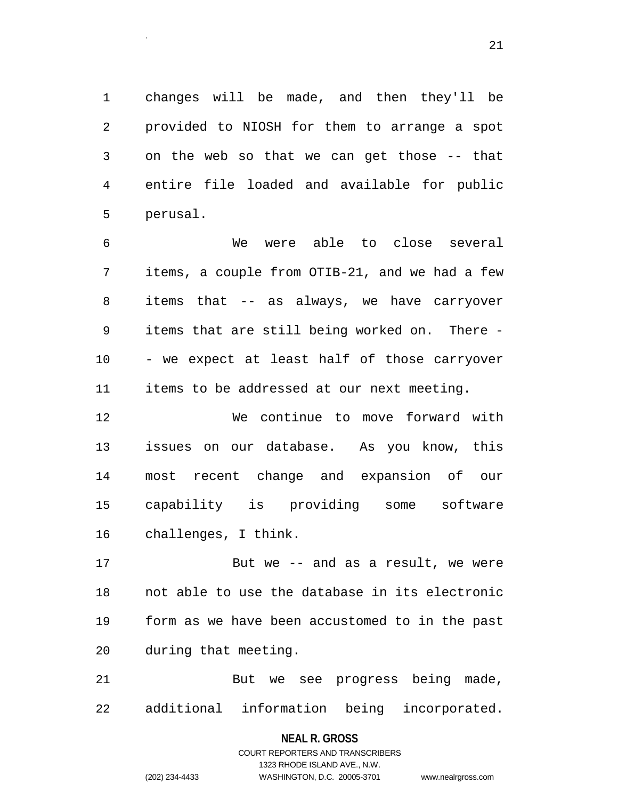1 changes will be made, and then they'll be 2 provided to NIOSH for them to arrange a spot 3 on the web so that we can get those -- that 4 entire file loaded and available for public 5 perusal.

.

6 We were able to close several 7 items, a couple from OTIB-21, and we had a few 8 items that -- as always, we have carryover 9 items that are still being worked on. There - 10 - we expect at least half of those carryover 11 items to be addressed at our next meeting.

12 We continue to move forward with 13 issues on our database. As you know, this 14 most recent change and expansion of our 15 capability is providing some software 16 challenges, I think.

17 But we -- and as a result, we were 18 not able to use the database in its electronic 19 form as we have been accustomed to in the past 20 during that meeting.

21 But we see progress being made, 22 additional information being incorporated.

> **NEAL R. GROSS** COURT REPORTERS AND TRANSCRIBERS

> > 1323 RHODE ISLAND AVE., N.W.

(202) 234-4433 WASHINGTON, D.C. 20005-3701 www.nealrgross.com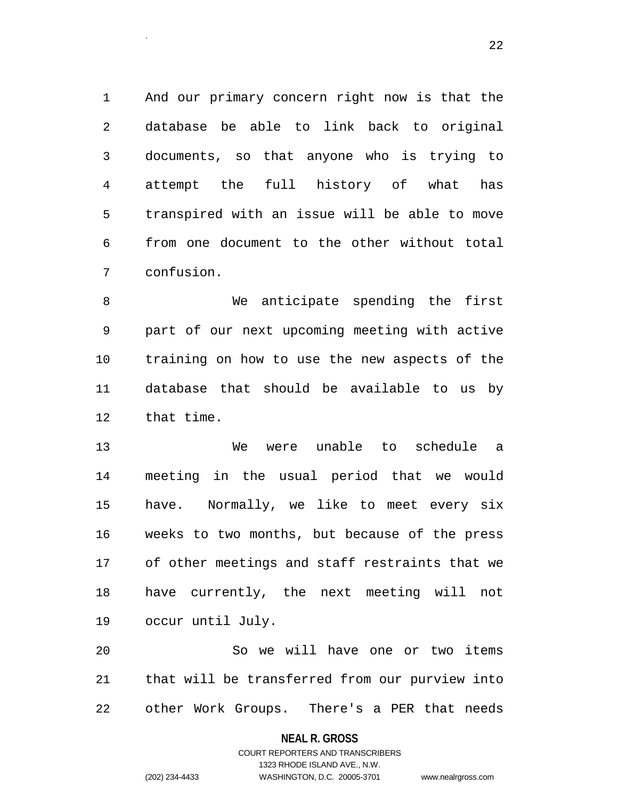1 And our primary concern right now is that the 2 database be able to link back to original 3 documents, so that anyone who is trying to 4 attempt the full history of what has 5 transpired with an issue will be able to move 6 from one document to the other without total 7 confusion.

8 We anticipate spending the first 9 part of our next upcoming meeting with active 10 training on how to use the new aspects of the 11 database that should be available to us by 12 that time.

13 We were unable to schedule a 14 meeting in the usual period that we would 15 have. Normally, we like to meet every six 16 weeks to two months, but because of the press 17 of other meetings and staff restraints that we 18 have currently, the next meeting will not 19 occur until July.

20 So we will have one or two items 21 that will be transferred from our purview into 22 other Work Groups. There's a PER that needs

**NEAL R. GROSS**

.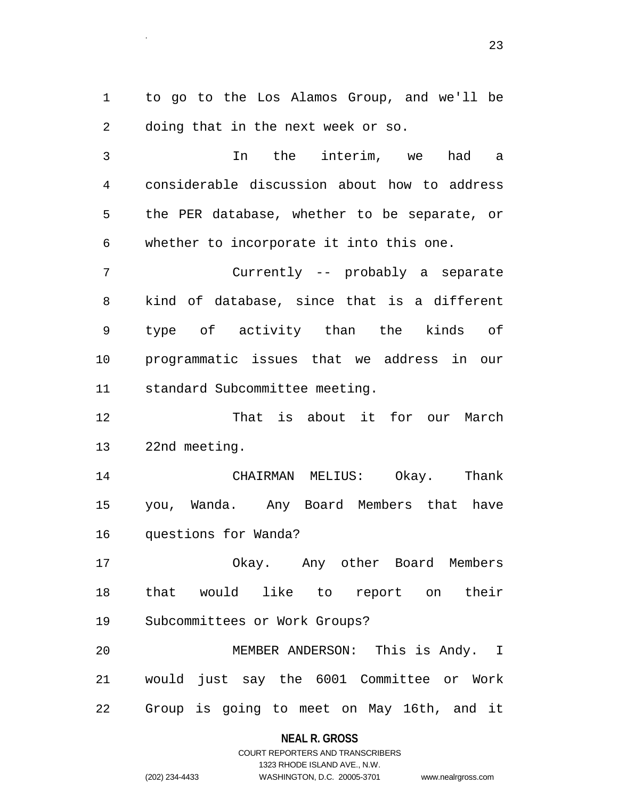1 to go to the Los Alamos Group, and we'll be 2 doing that in the next week or so.

.

3 In the interim, we had a 4 considerable discussion about how to address 5 the PER database, whether to be separate, or 6 whether to incorporate it into this one.

7 Currently -- probably a separate 8 kind of database, since that is a different 9 type of activity than the kinds of 10 programmatic issues that we address in our 11 standard Subcommittee meeting.

12 That is about it for our March 13 22nd meeting.

14 CHAIRMAN MELIUS: Okay. Thank 15 you, Wanda. Any Board Members that have 16 questions for Wanda?

17 Okay. Any other Board Members 18 that would like to report on their 19 Subcommittees or Work Groups?

20 MEMBER ANDERSON: This is Andy. I 21 would just say the 6001 Committee or Work 22 Group is going to meet on May 16th, and it

#### **NEAL R. GROSS**

## COURT REPORTERS AND TRANSCRIBERS 1323 RHODE ISLAND AVE., N.W. (202) 234-4433 WASHINGTON, D.C. 20005-3701 www.nealrgross.com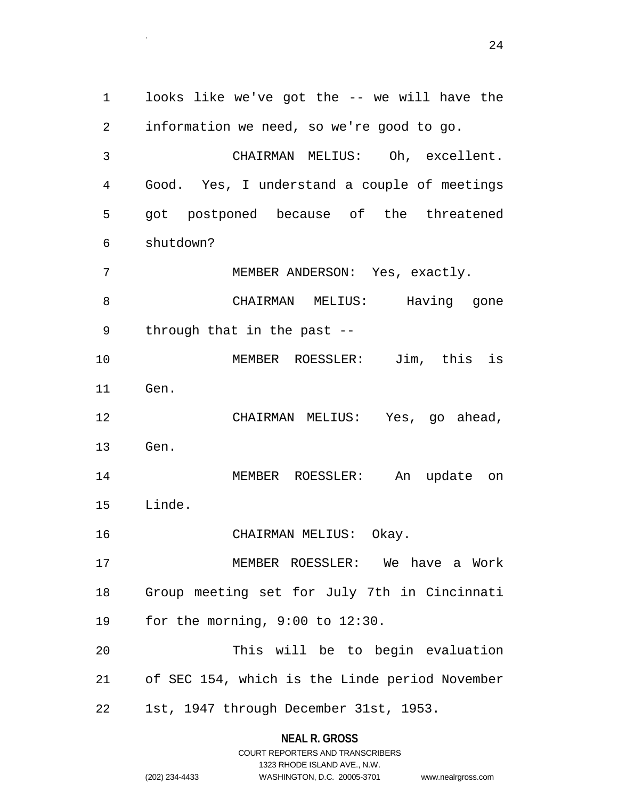1 looks like we've got the -- we will have the 2 information we need, so we're good to go. 3 CHAIRMAN MELIUS: Oh, excellent. 4 Good. Yes, I understand a couple of meetings 5 got postponed because of the threatened 6 shutdown? 7 MEMBER ANDERSON: Yes, exactly. 8 CHAIRMAN MELIUS: Having gone 9 through that in the past -- 10 MEMBER ROESSLER: Jim, this is 11 Gen. 12 CHAIRMAN MELIUS: Yes, go ahead, 13 Gen. 14 MEMBER ROESSLER: An update on 15 Linde. 16 CHAIRMAN MELIUS: Okay. 17 MEMBER ROESSLER: We have a Work 18 Group meeting set for July 7th in Cincinnati 19 for the morning, 9:00 to 12:30. 20 This will be to begin evaluation 21 of SEC 154, which is the Linde period November 22 1st, 1947 through December 31st, 1953.

## **NEAL R. GROSS** COURT REPORTERS AND TRANSCRIBERS

.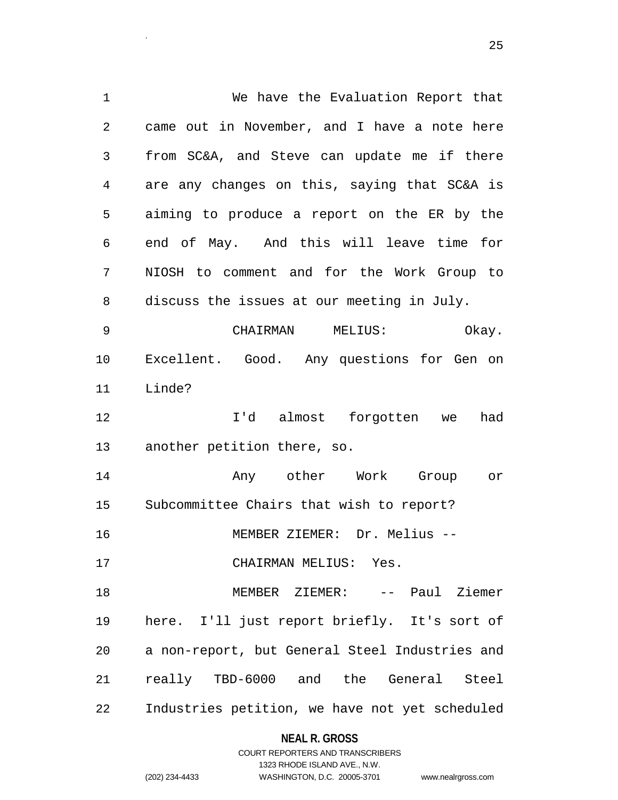1 We have the Evaluation Report that 2 came out in November, and I have a note here 3 from SC&A, and Steve can update me if there 4 are any changes on this, saying that SC&A is 5 aiming to produce a report on the ER by the 6 end of May. And this will leave time for 7 NIOSH to comment and for the Work Group to 8 discuss the issues at our meeting in July. 9 CHAIRMAN MELIUS: Okay. 10 Excellent. Good. Any questions for Gen on 11 Linde? 12 I'd almost forgotten we had 13 another petition there, so. 14 Any other Work Group or 15 Subcommittee Chairs that wish to report? 16 MEMBER ZIEMER: Dr. Melius -- 17 CHAIRMAN MELIUS: Yes. 18 MEMBER ZIEMER: -- Paul Ziemer 19 here. I'll just report briefly. It's sort of 20 a non-report, but General Steel Industries and 21 really TBD-6000 and the General Steel 22 Industries petition, we have not yet scheduled

#### **NEAL R. GROSS**

.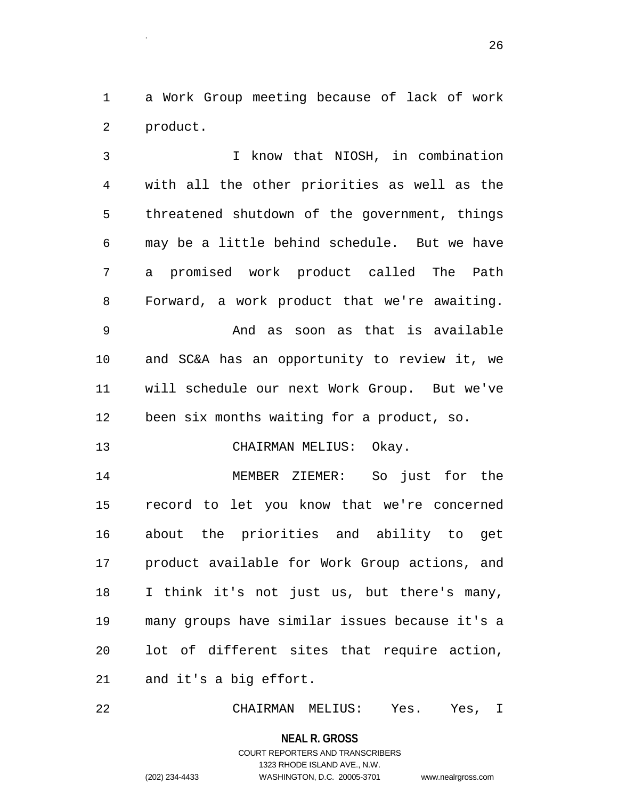1 a Work Group meeting because of lack of work 2 product.

.

3 I know that NIOSH, in combination 4 with all the other priorities as well as the 5 threatened shutdown of the government, things 6 may be a little behind schedule. But we have 7 a promised work product called The Path 8 Forward, a work product that we're awaiting. 9 And as soon as that is available 10 and SC&A has an opportunity to review it, we 11 will schedule our next Work Group. But we've 12 been six months waiting for a product, so. 13 CHAIRMAN MELIUS: Okay. 14 MEMBER ZIEMER: So just for the 15 record to let you know that we're concerned 16 about the priorities and ability to get 17 product available for Work Group actions, and 18 I think it's not just us, but there's many, 19 many groups have similar issues because it's a 20 lot of different sites that require action,

21 and it's a big effort.

22 CHAIRMAN MELIUS: Yes. Yes, I

**NEAL R. GROSS** COURT REPORTERS AND TRANSCRIBERS 1323 RHODE ISLAND AVE., N.W. (202) 234-4433 WASHINGTON, D.C. 20005-3701 www.nealrgross.com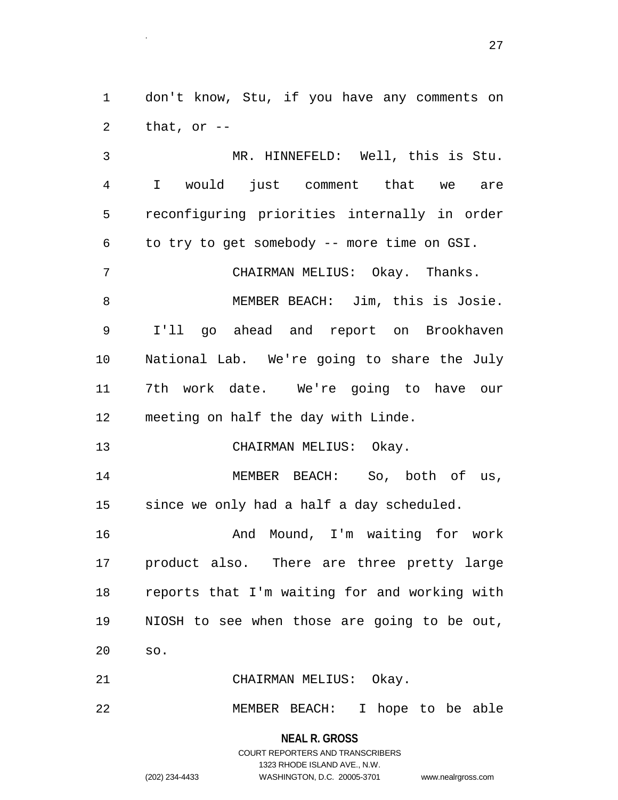1 don't know, Stu, if you have any comments on 2 that, or  $-$ 

3 MR. HINNEFELD: Well, this is Stu. 4 I would just comment that we are 5 reconfiguring priorities internally in order 6 to try to get somebody -- more time on GSI. 7 CHAIRMAN MELIUS: Okay. Thanks. 8 MEMBER BEACH: Jim, this is Josie. 9 I'll go ahead and report on Brookhaven 10 National Lab. We're going to share the July 11 7th work date. We're going to have our 12 meeting on half the day with Linde. 13 CHAIRMAN MELIUS: Okay. 14 MEMBER BEACH: So, both of us, 15 since we only had a half a day scheduled. 16 And Mound, I'm waiting for work 17 product also. There are three pretty large 18 reports that I'm waiting for and working with 19 NIOSH to see when those are going to be out, 20 so. 21 CHAIRMAN MELIUS: Okay. 22 MEMBER BEACH: I hope to be able

> **NEAL R. GROSS** COURT REPORTERS AND TRANSCRIBERS 1323 RHODE ISLAND AVE., N.W. (202) 234-4433 WASHINGTON, D.C. 20005-3701 www.nealrgross.com

.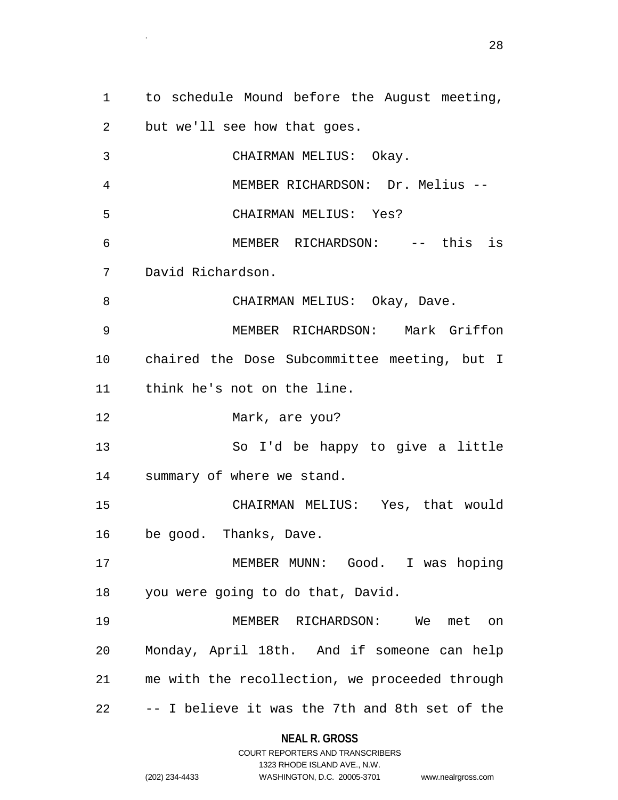1 to schedule Mound before the August meeting, 2 but we'll see how that goes. 3 CHAIRMAN MELIUS: Okay. 4 MEMBER RICHARDSON: Dr. Melius -- 5 CHAIRMAN MELIUS: Yes? 6 MEMBER RICHARDSON: -- this is 7 David Richardson. 8 CHAIRMAN MELIUS: Okay, Dave. 9 MEMBER RICHARDSON: Mark Griffon 10 chaired the Dose Subcommittee meeting, but I 11 think he's not on the line. 12 Mark, are you? 13 So I'd be happy to give a little 14 summary of where we stand. 15 CHAIRMAN MELIUS: Yes, that would 16 be good. Thanks, Dave. 17 MEMBER MUNN: Good. I was hoping 18 you were going to do that, David. 19 MEMBER RICHARDSON: We met on 20 Monday, April 18th. And if someone can help 21 me with the recollection, we proceeded through 22 -- I believe it was the 7th and 8th set of the

## **NEAL R. GROSS** COURT REPORTERS AND TRANSCRIBERS

.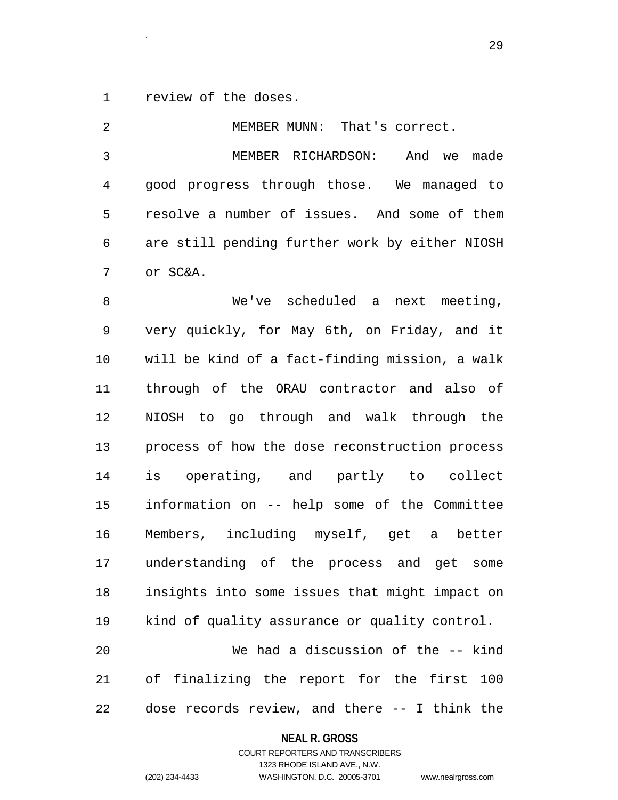1 review of the doses.

.

| 2              | MEMBER MUNN: That's correct.                   |
|----------------|------------------------------------------------|
| $\mathfrak{Z}$ | MEMBER RICHARDSON: And we<br>made              |
| 4              | good progress through those. We managed to     |
| 5              | resolve a number of issues. And some of them   |
| 6              | are still pending further work by either NIOSH |
| 7              | or SC&A.                                       |
| 8              | We've scheduled a next meeting,                |
| 9              | very quickly, for May 6th, on Friday, and it   |
| 10             | will be kind of a fact-finding mission, a walk |
| 11             | through of the ORAU contractor and also of     |
| 12             | NIOSH to go through and walk through the       |
| 13             | process of how the dose reconstruction process |
| 14             | is operating, and partly to collect            |
| 15             | information on -- help some of the Committee   |
| 16             | Members, including myself, get a better        |
| 17             | understanding of the process and get some      |
| 18             | insights into some issues that might impact on |
| 19             | kind of quality assurance or quality control.  |
| 20             | We had a discussion of the -- kind             |
| 21             | of finalizing the report for the first 100     |
| 22             | dose records review, and there -- I think the  |

# **NEAL R. GROSS**

## COURT REPORTERS AND TRANSCRIBERS 1323 RHODE ISLAND AVE., N.W. (202) 234-4433 WASHINGTON, D.C. 20005-3701 www.nealrgross.com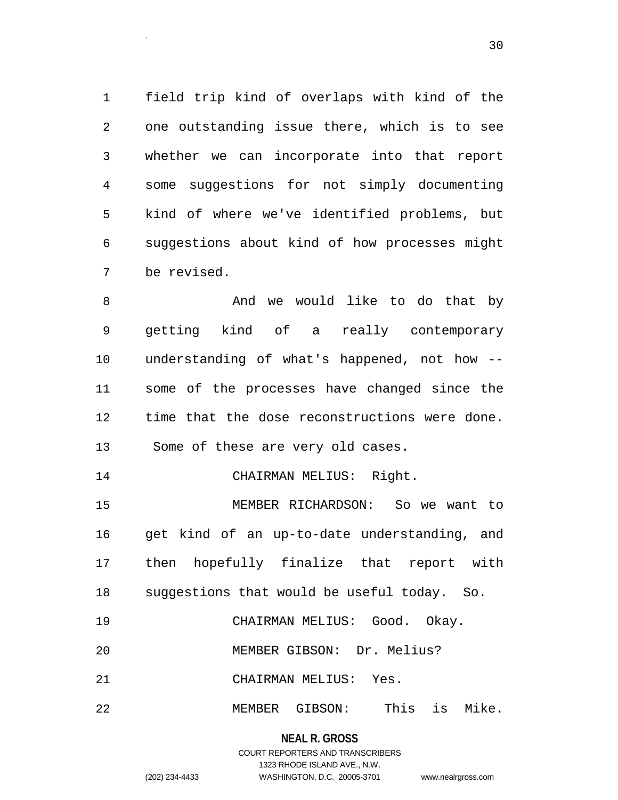1 field trip kind of overlaps with kind of the 2 one outstanding issue there, which is to see 3 whether we can incorporate into that report 4 some suggestions for not simply documenting 5 kind of where we've identified problems, but 6 suggestions about kind of how processes might 7 be revised.

.

8 And we would like to do that by 9 getting kind of a really contemporary 10 understanding of what's happened, not how -- 11 some of the processes have changed since the 12 time that the dose reconstructions were done. 13 Some of these are very old cases.

14 CHAIRMAN MELIUS: Right.

15 MEMBER RICHARDSON: So we want to 16 get kind of an up-to-date understanding, and 17 then hopefully finalize that report with 18 suggestions that would be useful today. So.

19 CHAIRMAN MELIUS: Good. Okay.

20 MEMBER GIBSON: Dr. Melius?

21 CHAIRMAN MELIUS: Yes.

22 MEMBER GIBSON: This is Mike.

**NEAL R. GROSS** COURT REPORTERS AND TRANSCRIBERS 1323 RHODE ISLAND AVE., N.W. (202) 234-4433 WASHINGTON, D.C. 20005-3701 www.nealrgross.com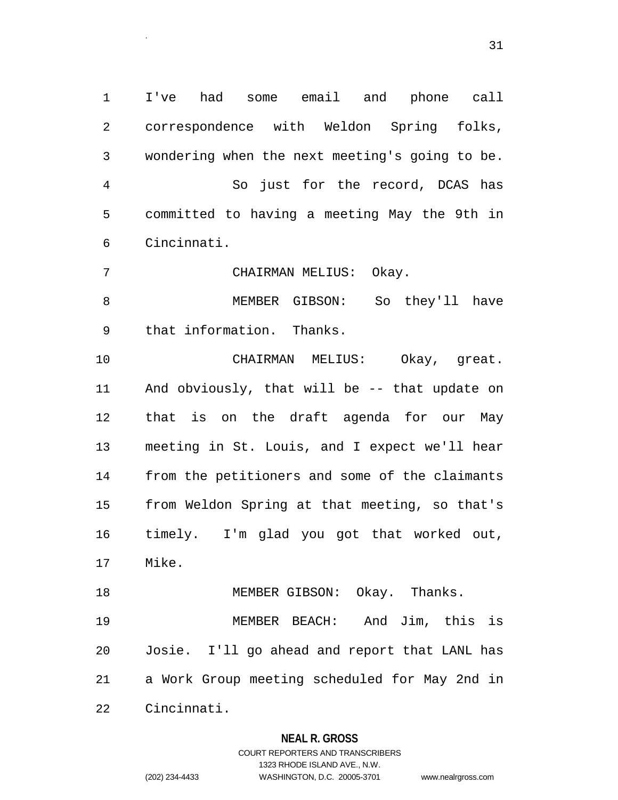1 I've had some email and phone call 2 correspondence with Weldon Spring folks, 3 wondering when the next meeting's going to be. 4 So just for the record, DCAS has 5 committed to having a meeting May the 9th in 6 Cincinnati.

7 CHAIRMAN MELIUS: Okay.

.

8 MEMBER GIBSON: So they'll have 9 that information. Thanks.

10 CHAIRMAN MELIUS: Okay, great. 11 And obviously, that will be -- that update on 12 that is on the draft agenda for our May 13 meeting in St. Louis, and I expect we'll hear 14 from the petitioners and some of the claimants 15 from Weldon Spring at that meeting, so that's 16 timely. I'm glad you got that worked out, 17 Mike. 18 MEMBER GIBSON: Okay. Thanks.

19 MEMBER BEACH: And Jim, this is 20 Josie. I'll go ahead and report that LANL has 21 a Work Group meeting scheduled for May 2nd in 22 Cincinnati.

## **NEAL R. GROSS**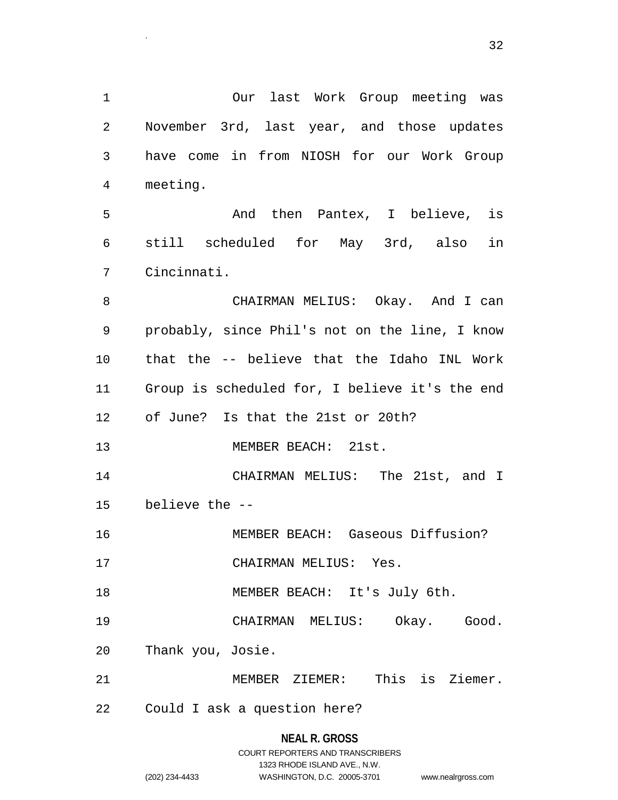1 Our last Work Group meeting was 2 November 3rd, last year, and those updates 3 have come in from NIOSH for our Work Group 4 meeting. 5 And then Pantex, I believe, is 6 still scheduled for May 3rd, also in 7 Cincinnati. 8 CHAIRMAN MELIUS: Okay. And I can 9 probably, since Phil's not on the line, I know 10 that the -- believe that the Idaho INL Work 11 Group is scheduled for, I believe it's the end 12 of June? Is that the 21st or 20th? 13 MEMBER BEACH: 21st. 14 CHAIRMAN MELIUS: The 21st, and I 15 believe the -- 16 MEMBER BEACH: Gaseous Diffusion? 17 CHAIRMAN MELIUS: Yes. 18 MEMBER BEACH: It's July 6th. 19 CHAIRMAN MELIUS: Okay. Good. 20 Thank you, Josie. 21 MEMBER ZIEMER: This is Ziemer. 22 Could I ask a question here?

## **NEAL R. GROSS**

.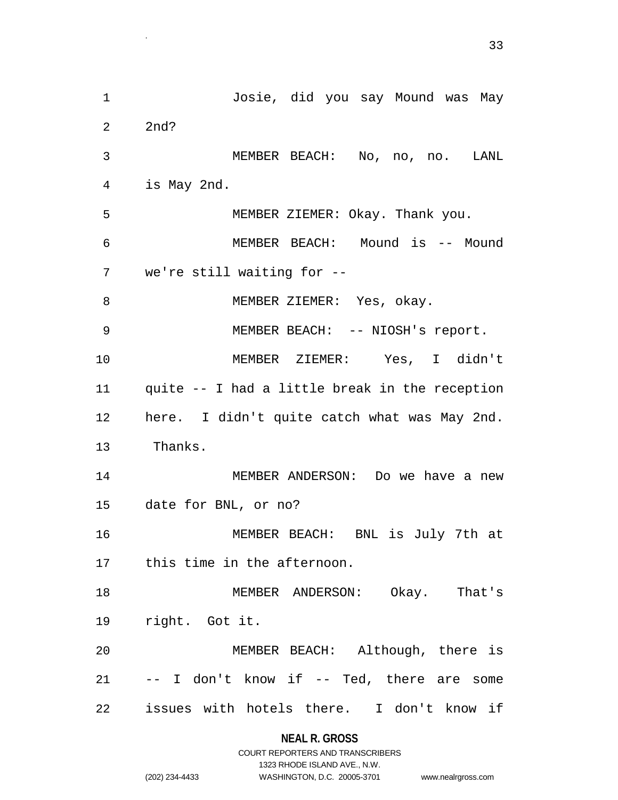1 Josie, did you say Mound was May 2 2nd? 3 MEMBER BEACH: No, no, no. LANL 4 is May 2nd. 5 MEMBER ZIEMER: Okay. Thank you. 6 MEMBER BEACH: Mound is -- Mound 7 we're still waiting for -- 8 MEMBER ZIEMER: Yes, okay. 9 MEMBER BEACH: -- NIOSH's report. 10 MEMBER ZIEMER: Yes, I didn't 11 quite -- I had a little break in the reception 12 here. I didn't quite catch what was May 2nd. 13 Thanks. 14 MEMBER ANDERSON: Do we have a new 15 date for BNL, or no? 16 MEMBER BEACH: BNL is July 7th at 17 this time in the afternoon. 18 MEMBER ANDERSON: Okay. That's 19 right. Got it. 20 MEMBER BEACH: Although, there is 21 -- I don't know if -- Ted, there are some 22 issues with hotels there. I don't know if

.

## **NEAL R. GROSS** COURT REPORTERS AND TRANSCRIBERS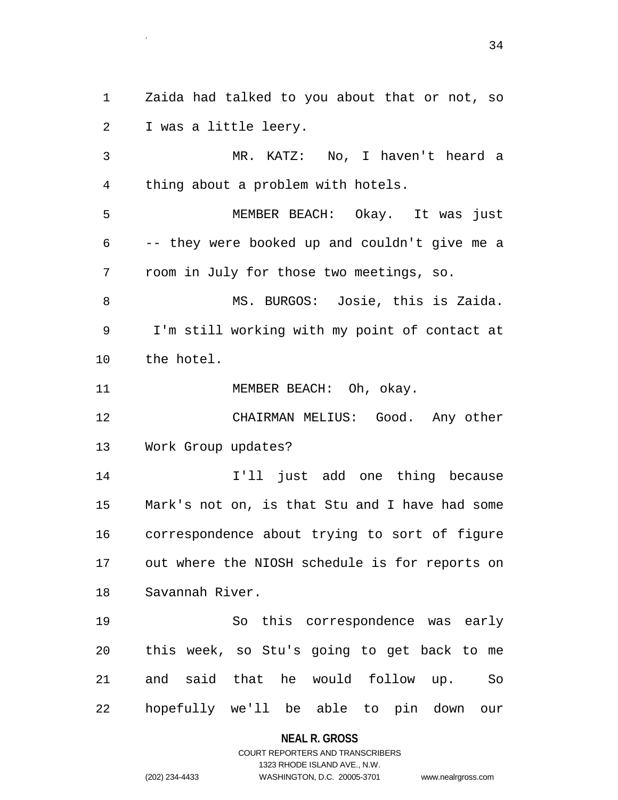1 Zaida had talked to you about that or not, so 2 I was a little leery.

.

3 MR. KATZ: No, I haven't heard a 4 thing about a problem with hotels.

5 MEMBER BEACH: Okay. It was just 6 -- they were booked up and couldn't give me a 7 room in July for those two meetings, so.

8 MS. BURGOS: Josie, this is Zaida. 9 I'm still working with my point of contact at 10 the hotel.

11 MEMBER BEACH: Oh, okay.

12 CHAIRMAN MELIUS: Good. Any other 13 Work Group updates?

14 I'll just add one thing because 15 Mark's not on, is that Stu and I have had some 16 correspondence about trying to sort of figure 17 out where the NIOSH schedule is for reports on 18 Savannah River.

19 So this correspondence was early 20 this week, so Stu's going to get back to me 21 and said that he would follow up. So 22 hopefully we'll be able to pin down our

#### **NEAL R. GROSS**

#### COURT REPORTERS AND TRANSCRIBERS 1323 RHODE ISLAND AVE., N.W. (202) 234-4433 WASHINGTON, D.C. 20005-3701 www.nealrgross.com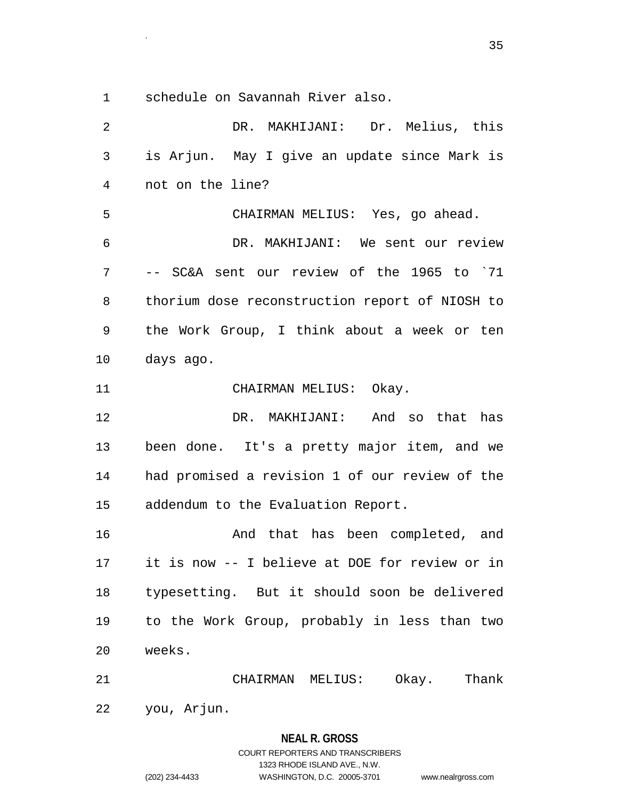1 schedule on Savannah River also.

.

2 DR. MAKHIJANI: Dr. Melius, this 3 is Arjun. May I give an update since Mark is 4 not on the line? 5 CHAIRMAN MELIUS: Yes, go ahead. 6 DR. MAKHIJANI: We sent our review 7 -- SC&A sent our review of the 1965 to `71 8 thorium dose reconstruction report of NIOSH to 9 the Work Group, I think about a week or ten 10 days ago. 11 CHAIRMAN MELIUS: Okay. 12 DR. MAKHIJANI: And so that has 13 been done. It's a pretty major item, and we 14 had promised a revision 1 of our review of the 15 addendum to the Evaluation Report. 16 And that has been completed, and 17 it is now -- I believe at DOE for review or in 18 typesetting. But it should soon be delivered 19 to the Work Group, probably in less than two 20 weeks. 21 CHAIRMAN MELIUS: Okay. Thank 22 you, Arjun.

> **NEAL R. GROSS** COURT REPORTERS AND TRANSCRIBERS 1323 RHODE ISLAND AVE., N.W. (202) 234-4433 WASHINGTON, D.C. 20005-3701 www.nealrgross.com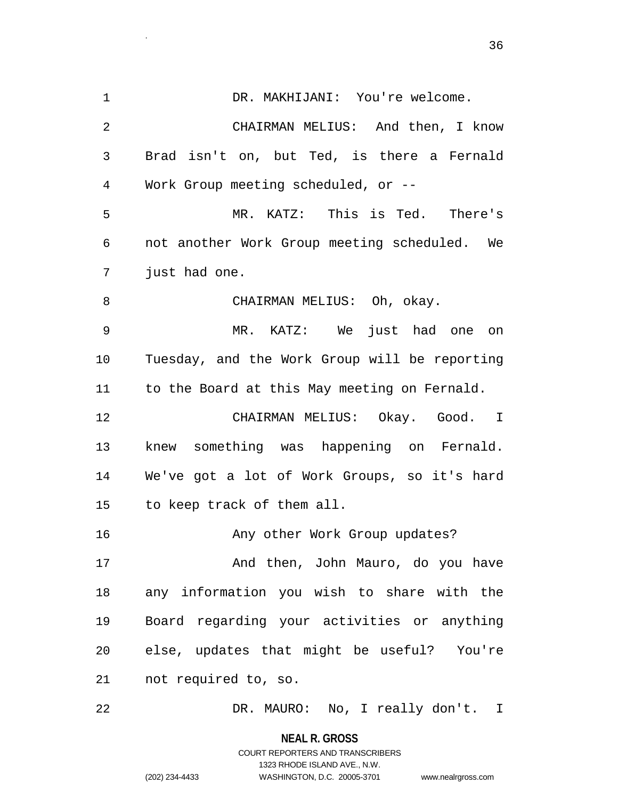1 DR. MAKHIJANI: You're welcome. 2 CHAIRMAN MELIUS: And then, I know 3 Brad isn't on, but Ted, is there a Fernald 4 Work Group meeting scheduled, or -- 5 MR. KATZ: This is Ted. There's 6 not another Work Group meeting scheduled. We 7 just had one. 8 CHAIRMAN MELIUS: Oh, okay. 9 MR. KATZ: We just had one on 10 Tuesday, and the Work Group will be reporting 11 to the Board at this May meeting on Fernald. 12 CHAIRMAN MELIUS: Okay. Good. I 13 knew something was happening on Fernald. 14 We've got a lot of Work Groups, so it's hard 15 to keep track of them all. 16 Any other Work Group updates? 17 And then, John Mauro, do you have 18 any information you wish to share with the 19 Board regarding your activities or anything 20 else, updates that might be useful? You're 21 not required to, so. 22 DR. MAURO: No, I really don't. I

> **NEAL R. GROSS** COURT REPORTERS AND TRANSCRIBERS

> > 1323 RHODE ISLAND AVE., N.W.

(202) 234-4433 WASHINGTON, D.C. 20005-3701 www.nealrgross.com

.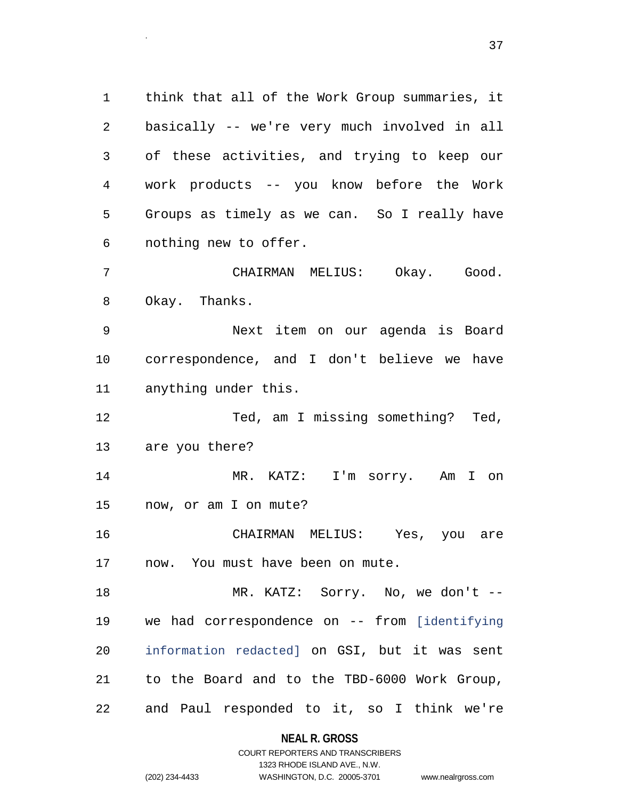1 think that all of the Work Group summaries, it 2 basically -- we're very much involved in all 3 of these activities, and trying to keep our 4 work products -- you know before the Work 5 Groups as timely as we can. So I really have 6 nothing new to offer.

.

7 CHAIRMAN MELIUS: Okay. Good. 8 Okay. Thanks.

9 Next item on our agenda is Board 10 correspondence, and I don't believe we have 11 anything under this.

12 Ted, am I missing something? Ted, 13 are you there?

14 MR. KATZ: I'm sorry. Am I on 15 now, or am I on mute?

16 CHAIRMAN MELIUS: Yes, you are 17 now. You must have been on mute.

18 MR. KATZ: Sorry. No, we don't --19 we had correspondence on -- from [identifying 20 information redacted] on GSI, but it was sent 21 to the Board and to the TBD-6000 Work Group, 22 and Paul responded to it, so I think we're

**NEAL R. GROSS**

COURT REPORTERS AND TRANSCRIBERS 1323 RHODE ISLAND AVE., N.W. (202) 234-4433 WASHINGTON, D.C. 20005-3701 www.nealrgross.com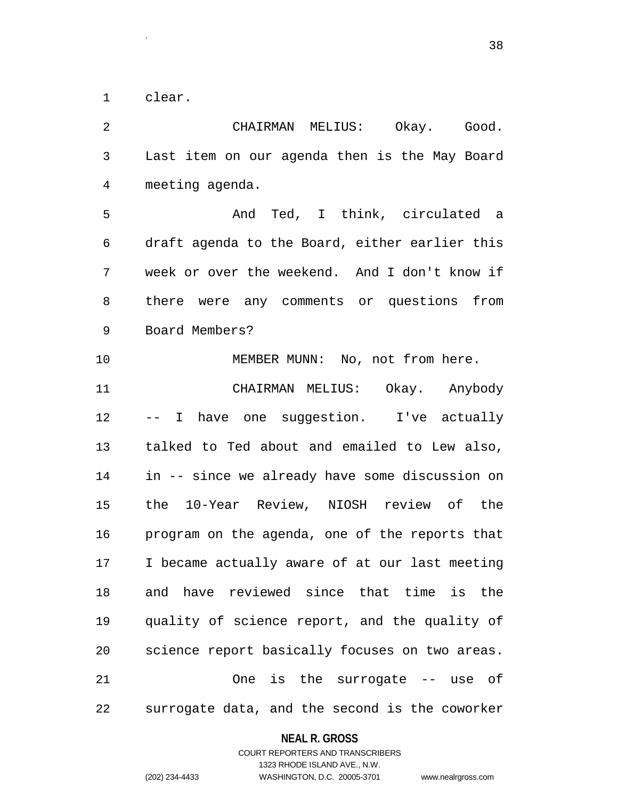1 clear.

.

2 CHAIRMAN MELIUS: Okay. Good. 3 Last item on our agenda then is the May Board 4 meeting agenda. 5 And Ted, I think, circulated a 6 draft agenda to the Board, either earlier this 7 week or over the weekend. And I don't know if 8 there were any comments or questions from 9 Board Members? 10 MEMBER MUNN: No, not from here. 11 CHAIRMAN MELIUS: Okay. Anybody 12 -- I have one suggestion. I've actually 13 talked to Ted about and emailed to Lew also, 14 in -- since we already have some discussion on 15 the 10-Year Review, NIOSH review of the 16 program on the agenda, one of the reports that 17 I became actually aware of at our last meeting 18 and have reviewed since that time is the 19 quality of science report, and the quality of 20 science report basically focuses on two areas. 21 One is the surrogate -- use of 22 surrogate data, and the second is the coworker

#### **NEAL R. GROSS**

COURT REPORTERS AND TRANSCRIBERS 1323 RHODE ISLAND AVE., N.W. (202) 234-4433 WASHINGTON, D.C. 20005-3701 www.nealrgross.com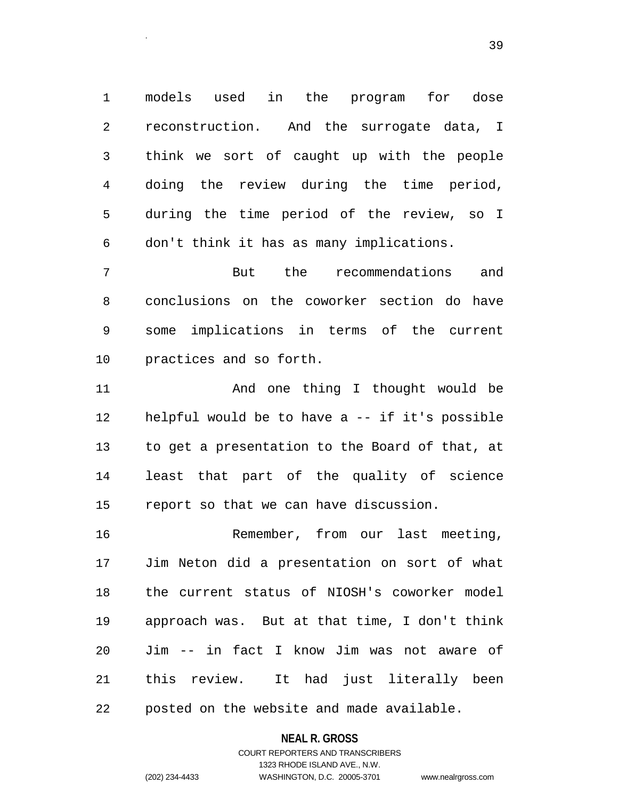1 models used in the program for dose 2 reconstruction. And the surrogate data, I 3 think we sort of caught up with the people 4 doing the review during the time period, 5 during the time period of the review, so I 6 don't think it has as many implications.

7 But the recommendations and 8 conclusions on the coworker section do have 9 some implications in terms of the current 10 practices and so forth.

11 And one thing I thought would be 12 helpful would be to have a -- if it's possible 13 to get a presentation to the Board of that, at 14 least that part of the quality of science 15 report so that we can have discussion.

16 Remember, from our last meeting, 17 Jim Neton did a presentation on sort of what 18 the current status of NIOSH's coworker model 19 approach was. But at that time, I don't think 20 Jim -- in fact I know Jim was not aware of 21 this review. It had just literally been 22 posted on the website and made available.

#### **NEAL R. GROSS**

.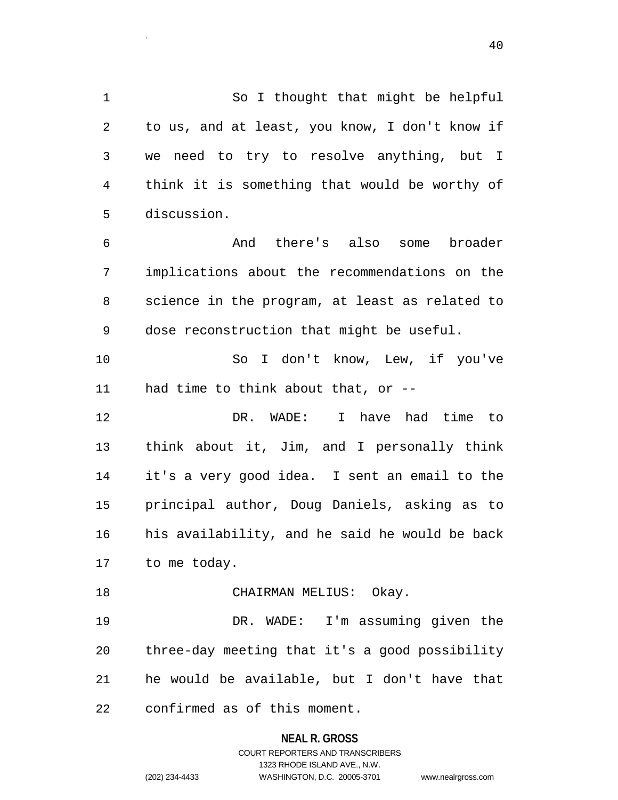1 So I thought that might be helpful 2 to us, and at least, you know, I don't know if 3 we need to try to resolve anything, but I 4 think it is something that would be worthy of 5 discussion.

6 And there's also some broader 7 implications about the recommendations on the 8 science in the program, at least as related to 9 dose reconstruction that might be useful.

10 So I don't know, Lew, if you've 11 had time to think about that, or --

12 DR. WADE: I have had time to 13 think about it, Jim, and I personally think 14 it's a very good idea. I sent an email to the 15 principal author, Doug Daniels, asking as to 16 his availability, and he said he would be back 17 to me today.

18 CHAIRMAN MELIUS: Okay.

19 DR. WADE: I'm assuming given the 20 three-day meeting that it's a good possibility 21 he would be available, but I don't have that 22 confirmed as of this moment.

**NEAL R. GROSS**

# COURT REPORTERS AND TRANSCRIBERS 1323 RHODE ISLAND AVE., N.W. (202) 234-4433 WASHINGTON, D.C. 20005-3701 www.nealrgross.com

.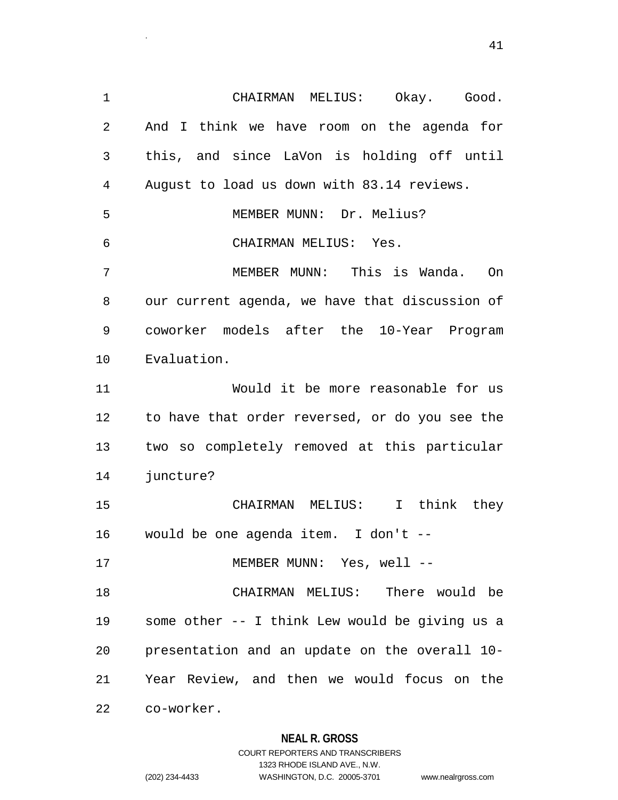1 CHAIRMAN MELIUS: Okay. Good. 2 And I think we have room on the agenda for 3 this, and since LaVon is holding off until 4 August to load us down with 83.14 reviews. 5 MEMBER MUNN: Dr. Melius? 6 CHAIRMAN MELIUS: Yes. 7 MEMBER MUNN: This is Wanda. On 8 our current agenda, we have that discussion of 9 coworker models after the 10-Year Program 10 Evaluation. 11 Would it be more reasonable for us 12 to have that order reversed, or do you see the 13 two so completely removed at this particular 14 juncture? 15 CHAIRMAN MELIUS: I think they 16 would be one agenda item. I don't -- 17 MEMBER MUNN: Yes, well --18 CHAIRMAN MELIUS: There would be 19 some other -- I think Lew would be giving us a 20 presentation and an update on the overall 10- 21 Year Review, and then we would focus on the 22 co-worker.

#### **NEAL R. GROSS**

COURT REPORTERS AND TRANSCRIBERS 1323 RHODE ISLAND AVE., N.W. (202) 234-4433 WASHINGTON, D.C. 20005-3701 www.nealrgross.com

.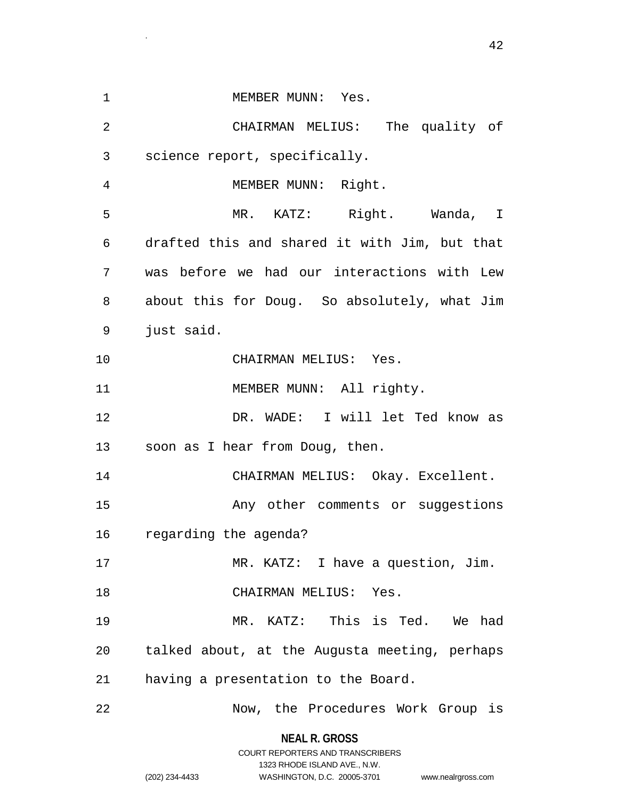1 MEMBER MUNN: Yes. 2 CHAIRMAN MELIUS: The quality of 3 science report, specifically. 4 MEMBER MUNN: Right. 5 MR. KATZ: Right. Wanda, I 6 drafted this and shared it with Jim, but that 7 was before we had our interactions with Lew 8 about this for Doug. So absolutely, what Jim 9 just said. 10 CHAIRMAN MELIUS: Yes. 11 MEMBER MUNN: All righty. 12 DR. WADE: I will let Ted know as 13 soon as I hear from Doug, then. 14 CHAIRMAN MELIUS: Okay. Excellent. 15 Any other comments or suggestions 16 regarding the agenda? 17 MR. KATZ: I have a question, Jim. 18 CHAIRMAN MELIUS: Yes. 19 MR. KATZ: This is Ted. We had 20 talked about, at the Augusta meeting, perhaps 21 having a presentation to the Board. 22 Now, the Procedures Work Group is

> **NEAL R. GROSS** COURT REPORTERS AND TRANSCRIBERS

> > 1323 RHODE ISLAND AVE., N.W.

.

(202) 234-4433 WASHINGTON, D.C. 20005-3701 www.nealrgross.com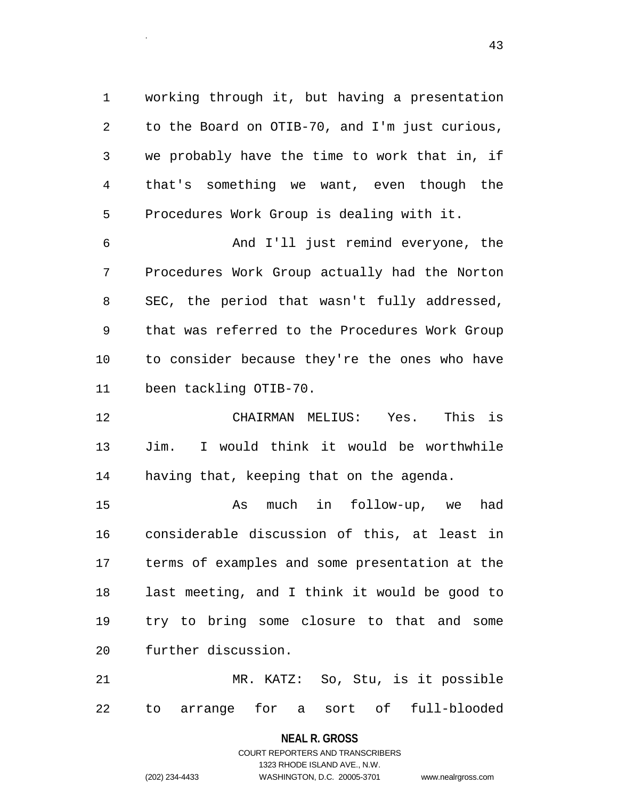1 working through it, but having a presentation 2 to the Board on OTIB-70, and I'm just curious, 3 we probably have the time to work that in, if 4 that's something we want, even though the 5 Procedures Work Group is dealing with it.

.

6 And I'll just remind everyone, the 7 Procedures Work Group actually had the Norton 8 SEC, the period that wasn't fully addressed, 9 that was referred to the Procedures Work Group 10 to consider because they're the ones who have 11 been tackling OTIB-70.

12 CHAIRMAN MELIUS: Yes. This is 13 Jim. I would think it would be worthwhile 14 having that, keeping that on the agenda.

15 As much in follow-up, we had 16 considerable discussion of this, at least in 17 terms of examples and some presentation at the 18 last meeting, and I think it would be good to 19 try to bring some closure to that and some 20 further discussion.

21 MR. KATZ: So, Stu, is it possible 22 to arrange for a sort of full-blooded

#### **NEAL R. GROSS**

COURT REPORTERS AND TRANSCRIBERS 1323 RHODE ISLAND AVE., N.W. (202) 234-4433 WASHINGTON, D.C. 20005-3701 www.nealrgross.com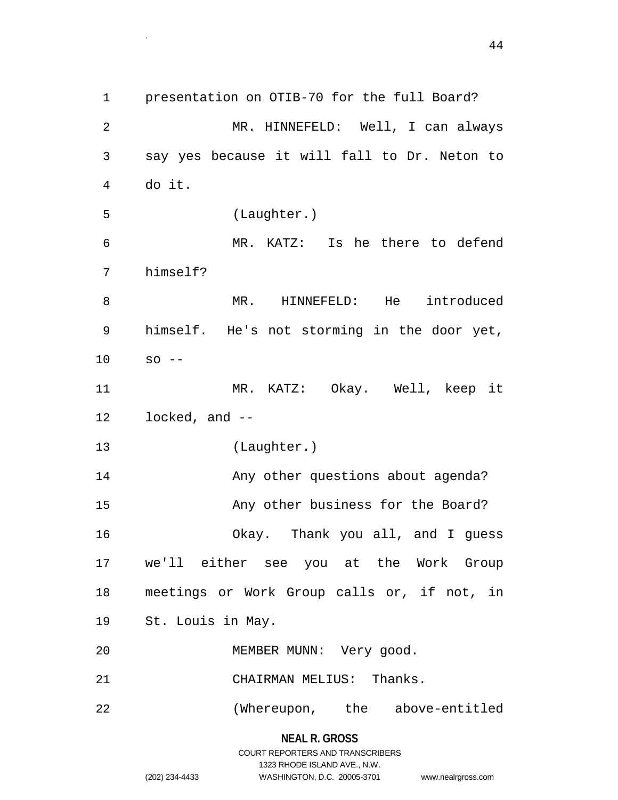1 presentation on OTIB-70 for the full Board? 2 MR. HINNEFELD: Well, I can always 3 say yes because it will fall to Dr. Neton to 4 do it. 5 (Laughter.) 6 MR. KATZ: Is he there to defend 7 himself? 8 MR. HINNEFELD: He introduced 9 himself. He's not storming in the door yet, 10 so -- 11 MR. KATZ: Okay. Well, keep it 12 locked, and -- 13 (Laughter.) 14 Any other questions about agenda? 15 Any other business for the Board? 16 Okay. Thank you all, and I guess 17 we'll either see you at the Work Group 18 meetings or Work Group calls or, if not, in 19 St. Louis in May. 20 MEMBER MUNN: Very good. 21 CHAIRMAN MELIUS: Thanks. 22 (Whereupon, the above-entitled

**NEAL R. GROSS** COURT REPORTERS AND TRANSCRIBERS 1323 RHODE ISLAND AVE., N.W. (202) 234-4433 WASHINGTON, D.C. 20005-3701 www.nealrgross.com

.